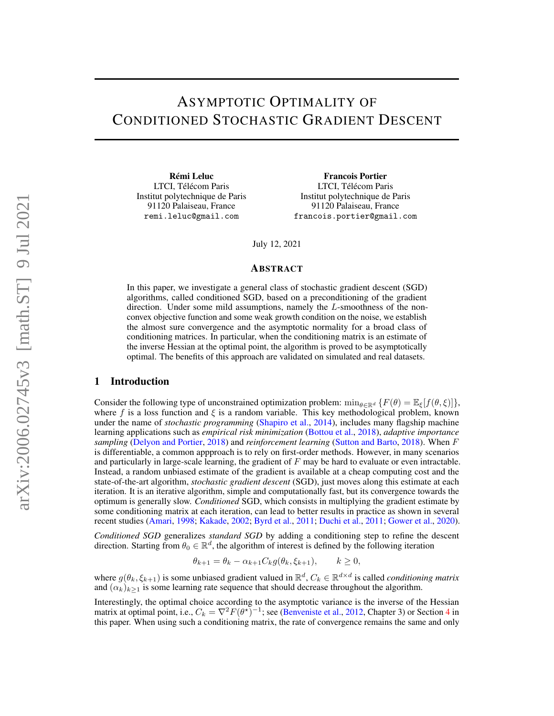# ASYMPTOTIC OPTIMALITY OF CONDITIONED STOCHASTIC GRADIENT DESCENT

Rémi Leluc LTCI, Télécom Paris Institut polytechnique de Paris 91120 Palaiseau, France remi.leluc@gmail.com

Francois Portier LTCI, Télécom Paris Institut polytechnique de Paris 91120 Palaiseau, France francois.portier@gmail.com

July 12, 2021

#### ABSTRACT

In this paper, we investigate a general class of stochastic gradient descent (SGD) algorithms, called conditioned SGD, based on a preconditioning of the gradient direction. Under some mild assumptions, namely the L-smoothness of the nonconvex objective function and some weak growth condition on the noise, we establish the almost sure convergence and the asymptotic normality for a broad class of conditioning matrices. In particular, when the conditioning matrix is an estimate of the inverse Hessian at the optimal point, the algorithm is proved to be asymptotically optimal. The benefits of this approach are validated on simulated and real datasets.

## 1 Introduction

Consider the following type of unconstrained optimization problem:  $\min_{\theta \in \mathbb{R}^d} \{F(\theta) = \mathbb{E}_{\xi}[f(\theta, \xi)]\}$ , where f is a loss function and  $\xi$  is a random variable. This key methodological problem, known under the name of *stochastic programming* [\(Shapiro et al.,](#page-30-0) [2014\)](#page-30-0), includes many flagship machine learning applications such as *empirical risk minimization* [\(Bottou et al.,](#page-28-0) [2018\)](#page-28-0), *adaptive importance sampling* [\(Delyon and Portier,](#page-28-1) [2018\)](#page-28-1) and *reinforcement learning* [\(Sutton and Barto,](#page-30-1) [2018\)](#page-30-1). When F is differentiable, a common appproach is to rely on first-order methods. However, in many scenarios and particularly in large-scale learning, the gradient of  $F$  may be hard to evaluate or even intractable. Instead, a random unbiased estimate of the gradient is available at a cheap computing cost and the state-of-the-art algorithm, *stochastic gradient descent* (SGD), just moves along this estimate at each iteration. It is an iterative algorithm, simple and computationally fast, but its convergence towards the optimum is generally slow. *Conditioned* SGD, which consists in multiplying the gradient estimate by some conditioning matrix at each iteration, can lead to better results in practice as shown in several recent studies [\(Amari,](#page-28-2) [1998;](#page-28-2) [Kakade,](#page-29-0) [2002;](#page-29-0) [Byrd et al.,](#page-28-3) [2011;](#page-28-3) [Duchi et al.,](#page-29-1) [2011;](#page-29-1) [Gower et al.,](#page-29-2) [2020\)](#page-29-2).

*Conditioned SGD* generalizes *standard SGD* by adding a conditioning step to refine the descent direction. Starting from  $\theta_0 \in \mathbb{R}^d$ , the algorithm of interest is defined by the following iteration

$$
\theta_{k+1} = \theta_k - \alpha_{k+1} C_k g(\theta_k, \xi_{k+1}), \qquad k \ge 0,
$$

where  $g(\theta_k, \xi_{k+1})$  is some unbiased gradient valued in  $\mathbb{R}^d$ ,  $C_k \in \mathbb{R}^{d \times d}$  is called *conditioning matrix* and  $(\alpha_k)_{k>1}$  is some learning rate sequence that should decrease throughout the algorithm.

Interestingly, the optimal choice according to the asymptotic variance is the inverse of the Hessian matrix at optimal point, i.e.,  $C_k = \nabla^2 F(\theta^*)^{-1}$ ; see [\(Benveniste et al.,](#page-28-4) [2012,](#page-28-4) Chapter 3) or Section [4](#page-5-0) in this paper. When using such a conditioning matrix, the rate of convergence remains the same and only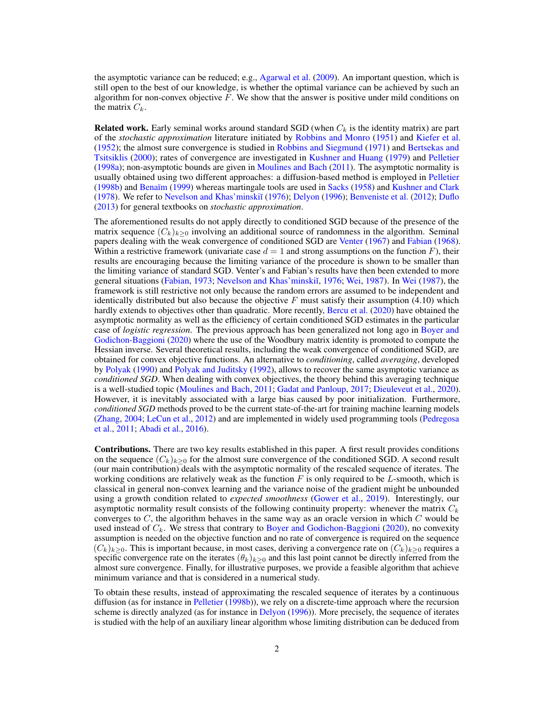the asymptotic variance can be reduced; e.g., [Agarwal et al.](#page-28-5) [\(2009\)](#page-28-5). An important question, which is still open to the best of our knowledge, is whether the optimal variance can be achieved by such an algorithm for non-convex objective  $F$ . We show that the answer is positive under mild conditions on the matrix  $C_k$ .

**Related work.** Early seminal works around standard SGD (when  $C_k$  is the identity matrix) are part of the *stochastic approximation* literature initiated by [Robbins and Monro](#page-30-2) [\(1951\)](#page-30-2) and [Kiefer et al.](#page-29-3) [\(1952\)](#page-29-3); the almost sure convergence is studied in [Robbins and Siegmund](#page-30-3) [\(1971\)](#page-30-3) and [Bertsekas and](#page-28-6) [Tsitsiklis](#page-28-6) [\(2000\)](#page-28-6); rates of convergence are investigated in [Kushner and Huang](#page-29-4) [\(1979\)](#page-29-4) and [Pelletier](#page-30-4) [\(1998a\)](#page-30-4); non-asymptotic bounds are given in [Moulines and Bach](#page-30-5) [\(2011\)](#page-30-5). The asymptotic normality is usually obtained using two different approaches: a diffusion-based method is employed in [Pelletier](#page-30-6) [\(1998b\)](#page-30-6) and [Benaïm](#page-28-7) [\(1999\)](#page-28-7) whereas martingale tools are used in [Sacks](#page-30-7) [\(1958\)](#page-30-7) and [Kushner and Clark](#page-29-5) [\(1978\)](#page-29-5). We refer to [Nevelson and Khas'minski˘ı](#page-30-8) [\(1976\)](#page-30-8); [Delyon](#page-28-8) [\(1996\)](#page-28-8); [Benveniste et al.](#page-28-4) [\(2012\)](#page-28-4); [Duflo](#page-29-6) [\(2013\)](#page-29-6) for general textbooks on *stochastic approximation*.

The aforementioned results do not apply directly to conditioned SGD because of the presence of the matrix sequence  $(C_k)_{k>0}$  involving an additional source of randomness in the algorithm. Seminal papers dealing with the weak convergence of conditioned SGD are [Venter](#page-30-9) [\(1967\)](#page-30-9) and [Fabian](#page-29-7) [\(1968\)](#page-29-7). Within a restrictive framework (univariate case  $d = 1$  and strong assumptions on the function F), their results are encouraging because the limiting variance of the procedure is shown to be smaller than the limiting variance of standard SGD. Venter's and Fabian's results have then been extended to more general situations [\(Fabian,](#page-29-8) [1973;](#page-29-8) Nevelson and Khas'minskiĭ, [1976;](#page-30-8) [Wei,](#page-31-0) [1987\)](#page-31-0). In [Wei](#page-31-0) [\(1987\)](#page-31-0), the framework is still restrictive not only because the random errors are assumed to be independent and identically distributed but also because the objective F must satisfy their assumption  $(4.10)$  which hardly extends to objectives other than quadratic. More recently, [Bercu et al.](#page-28-9) [\(2020\)](#page-28-9) have obtained the asymptotic normality as well as the efficiency of certain conditioned SGD estimates in the particular case of *logistic regression*. The previous approach has been generalized not long ago in [Boyer and](#page-28-10) [Godichon-Baggioni](#page-28-10) [\(2020\)](#page-28-10) where the use of the Woodbury matrix identity is promoted to compute the Hessian inverse. Several theoretical results, including the weak convergence of conditioned SGD, are obtained for convex objective functions. An alternative to *conditioning*, called *averaging*, developed by [Polyak](#page-30-10) [\(1990\)](#page-30-10) and [Polyak and Juditsky](#page-30-11) [\(1992\)](#page-30-11), allows to recover the same asymptotic variance as *conditioned SGD*. When dealing with convex objectives, the theory behind this averaging technique is a well-studied topic [\(Moulines and Bach,](#page-30-5) [2011;](#page-30-5) [Gadat and Panloup,](#page-29-9) [2017;](#page-29-9) [Dieuleveut et al.,](#page-28-11) [2020\)](#page-28-11). However, it is inevitably associated with a large bias caused by poor initialization. Furthermore, *conditioned SGD* methods proved to be the current state-of-the-art for training machine learning models [\(Zhang,](#page-31-1) [2004;](#page-31-1) [LeCun et al.,](#page-29-10) [2012\)](#page-29-10) and are implemented in widely used programming tools [\(Pedregosa](#page-30-12) [et al.,](#page-30-12) [2011;](#page-30-12) [Abadi et al.,](#page-28-12) [2016\)](#page-28-12).

Contributions. There are two key results established in this paper. A first result provides conditions on the sequence  $(C_k)_{k\geq 0}$  for the almost sure convergence of the conditioned SGD. A second result (our main contribution) deals with the asymptotic normality of the rescaled sequence of iterates. The working conditions are relatively weak as the function  $F$  is only required to be L-smooth, which is classical in general non-convex learning and the variance noise of the gradient might be unbounded using a growth condition related to *expected smoothness* [\(Gower et al.,](#page-29-11) [2019\)](#page-29-11). Interestingly, our asymptotic normality result consists of the following continuity property: whenever the matrix  $C_k$ converges to  $C$ , the algorithm behaves in the same way as an oracle version in which  $C$  would be used instead of  $C_k$ . We stress that contrary to [Boyer and Godichon-Baggioni](#page-28-10) [\(2020\)](#page-28-10), no convexity assumption is needed on the objective function and no rate of convergence is required on the sequence  $(C_k)_{k>0}$ . This is important because, in most cases, deriving a convergence rate on  $(C_k)_{k>0}$  requires a specific convergence rate on the iterates  $(\theta_k)_{k>0}$  and this last point cannot be directly inferred from the almost sure convergence. Finally, for illustrative purposes, we provide a feasible algorithm that achieve minimum variance and that is considered in a numerical study.

To obtain these results, instead of approximating the rescaled sequence of iterates by a continuous diffusion (as for instance in [Pelletier](#page-30-6) [\(1998b\)](#page-30-6)), we rely on a discrete-time approach where the recursion scheme is directly analyzed (as for instance in [Delyon](#page-28-8) [\(1996\)](#page-28-8)). More precisely, the sequence of iterates is studied with the help of an auxiliary linear algorithm whose limiting distribution can be deduced from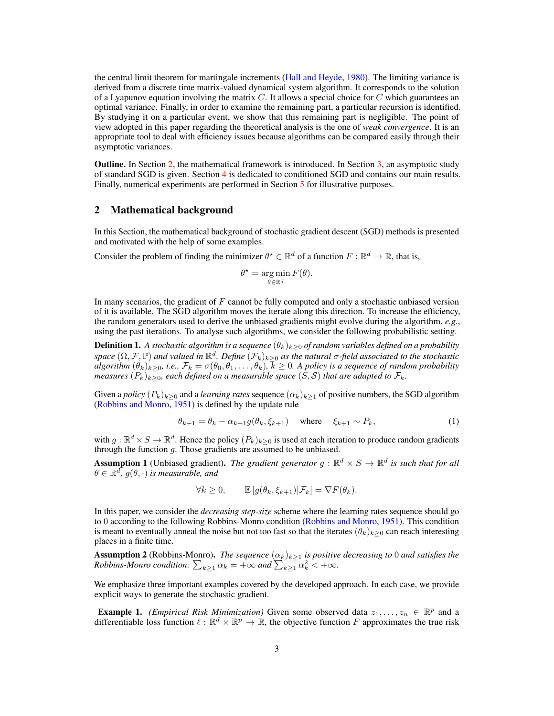the central limit theorem for martingale increments [\(Hall and Heyde,](#page-29-12) [1980\)](#page-29-12). The limiting variance is derived from a discrete time matrix-valued dynamical system algorithm. It corresponds to the solution of a Lyapunov equation involving the matrix C. It allows a special choice for C which guarantees an optimal variance. Finally, in order to examine the remaining part, a particular recursion is identified. By studying it on a particular event, we show that this remaining part is negligible. The point of view adopted in this paper regarding the theoretical analysis is the one of *weak convergence*. It is an appropriate tool to deal with efficiency issues because algorithms can be compared easily through their asymptotic variances.

Outline. In Section [2,](#page-2-0) the mathematical framework is introduced. In Section [3,](#page-3-0) an asymptotic study of standard SGD is given. Section [4](#page-5-0) is dedicated to conditioned SGD and contains our main results. Finally, numerical experiments are performed in Section [5](#page-8-0) for illustrative purposes.

## <span id="page-2-0"></span>2 Mathematical background

In this Section, the mathematical background of stochastic gradient descent (SGD) methods is presented and motivated with the help of some examples.

Consider the problem of finding the minimizer  $\theta^* \in \mathbb{R}^d$  of a function  $F : \mathbb{R}^d \to \mathbb{R}$ , that is,

<span id="page-2-2"></span>
$$
\theta^* = \operatorname*{arg\,min}_{\theta \in \mathbb{R}^d} F(\theta).
$$

In many scenarios, the gradient of  $F$  cannot be fully computed and only a stochastic unbiased version of it is available. The SGD algorithm moves the iterate along this direction. To increase the efficiency, the random generators used to derive the unbiased gradients might evolve during the algorithm, *e.g.*, using the past iterations. To analyse such algorithms, we consider the following probabilistic setting.

**Definition 1.** A stochastic algorithm is a sequence  $(\theta_k)_{k>0}$  of random variables defined on a probability space  $(\Omega,\mathcal{F},\mathbb{P})$  and valued in  $\mathbb{R}^d$ . Define  $(\mathcal{F}_k)_{k\geq 0}$  as the natural  $\sigma$ -field associated to the stochastic  $algorithm \ (\theta_k)_{k\geq 0}$ , i.e.,  $\mathcal{F}_k=\sigma(\theta_0,\theta_1,\ldots,\theta_k),\,k\geq 0.$  A policy is a sequence of random probability *measures*  $(P_k)_{k\geq 0}$ , each defined on a measurable space  $(S, \mathcal{S})$  that are adapted to  $\mathcal{F}_k$ .

Given a *policy*  $(P_k)_{k>0}$  and a *learning rates* sequence  $(\alpha_k)_{k>1}$  of positive numbers, the SGD algorithm [\(Robbins and Monro,](#page-30-2) [1951\)](#page-30-2) is defined by the update rule

$$
\theta_{k+1} = \theta_k - \alpha_{k+1} g(\theta_k, \xi_{k+1}) \quad \text{where} \quad \xi_{k+1} \sim P_k,\tag{1}
$$

with  $g: \mathbb{R}^d \times S \to \mathbb{R}^d$ . Hence the policy  $(P_k)_{k \geq 0}$  is used at each iteration to produce random gradients through the function  $g$ . Those gradients are assumed to be unbiased.

<span id="page-2-1"></span>**Assumption 1** (Unbiased gradient). The gradient generator  $g : \mathbb{R}^d \times S \to \mathbb{R}^d$  is such that for all  $\theta \in \mathbb{R}^d$ ,  $g(\theta, \cdot)$  *is measurable, and* 

$$
\forall k \geq 0, \qquad \mathbb{E}\left[g(\theta_k, \xi_{k+1}) | \mathcal{F}_k\right] = \nabla F(\theta_k).
$$

In this paper, we consider the *decreasing step-size* scheme where the learning rates sequence should go to 0 according to the following Robbins-Monro condition [\(Robbins and Monro,](#page-30-2) [1951\)](#page-30-2). This condition is meant to eventually anneal the noise but not too fast so that the iterates  $(\theta_k)_{k>0}$  can reach interesting places in a finite time.

<span id="page-2-3"></span>**Assumption 2** (Robbins-Monro). *The sequence*  $(\alpha_k)_{k\geq 1}$  *is positive decreasing to* 0 *and satisfies the Robbins-Monro condition:*  $\sum_{k\geq 1} \alpha_k = +\infty$  and  $\sum_{k\geq 1} \alpha_k^2 < +\infty$ .

We emphasize three important examples covered by the developed approach. In each case, we provide explicit ways to generate the stochastic gradient.

**Example 1.** *(Empirical Risk Minimization)* Given some observed data  $z_1, \ldots, z_n \in \mathbb{R}^p$  and a differentiable loss function  $\ell : \mathbb{R}^d \times \mathbb{R}^p \to \mathbb{R}$ , the objective function F approximates the true risk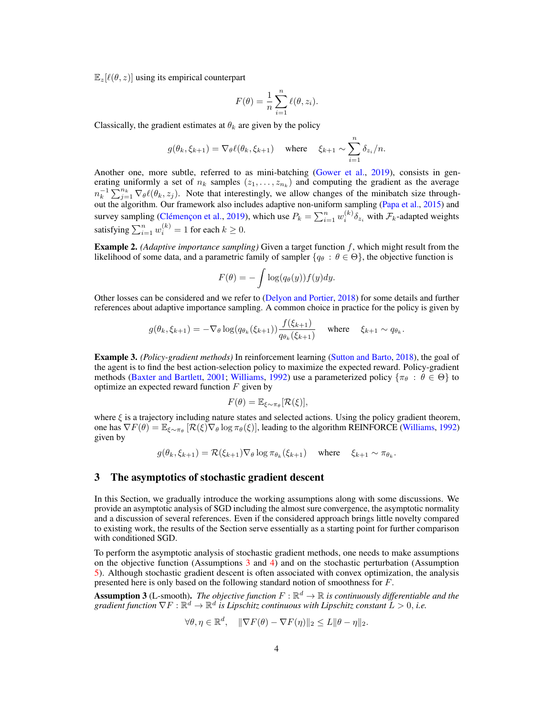$\mathbb{E}_{z}[\ell(\theta, z)]$  using its empirical counterpart

$$
F(\theta) = \frac{1}{n} \sum_{i=1}^{n} \ell(\theta, z_i).
$$

Classically, the gradient estimates at  $\theta_k$  are given by the policy

$$
g(\theta_k,\xi_{k+1}) = \nabla_{\theta} \ell(\theta_k,\xi_{k+1}) \quad \text{where} \quad \xi_{k+1} \sim \sum_{i=1}^n \delta_{z_i}/n.
$$

Another one, more subtle, referred to as mini-batching [\(Gower et al.,](#page-29-11) [2019\)](#page-29-11), consists in generating uniformly a set of  $n_k$  samples  $(z_1, \ldots, z_{n_k})$  and computing the gradient as the average  $n_k^{-1} \sum_{j=1}^{n_k} \nabla_{\theta} \ell(\theta_k, z_j)$ . Note that interestingly, we allow changes of the minibatch size throughout the algorithm. Our framework also includes adaptive non-uniform sampling [\(Papa et al.,](#page-30-13) [2015\)](#page-30-13) and survey sampling [\(Clémençon et al.,](#page-28-13) [2019\)](#page-28-13), which use  $P_k = \sum_{i=1}^n w_i^{(k)} \delta_{z_i}$  with  $\mathcal{F}_k$ -adapted weights satisfying  $\sum_{i=1}^{n} w_i^{(k)} = 1$  for each  $k \ge 0$ .

Example 2. *(Adaptive importance sampling)* Given a target function f, which might result from the likelihood of some data, and a parametric family of sampler  $\{q_\theta : \theta \in \Theta\}$ , the objective function is

$$
F(\theta) = -\int \log(q_{\theta}(y)) f(y) dy.
$$

Other losses can be considered and we refer to [\(Delyon and Portier,](#page-28-1) [2018\)](#page-28-1) for some details and further references about adaptive importance sampling. A common choice in practice for the policy is given by

$$
g(\theta_k, \xi_{k+1}) = -\nabla_{\theta} \log(q_{\theta_k}(\xi_{k+1})) \frac{f(\xi_{k+1})}{q_{\theta_k}(\xi_{k+1})} \quad \text{where} \quad \xi_{k+1} \sim q_{\theta_k}.
$$

Example 3. *(Policy-gradient methods)* In reinforcement learning [\(Sutton and Barto,](#page-30-1) [2018\)](#page-30-1), the goal of the agent is to find the best action-selection policy to maximize the expected reward. Policy-gradient methods [\(Baxter and Bartlett,](#page-28-14) [2001;](#page-28-14) [Williams,](#page-31-2) [1992\)](#page-31-2) use a parameterized policy { $\pi_{\theta}$  :  $\theta \in \Theta$ } to optimize an expected reward function  $F$  given by

$$
F(\theta) = \mathbb{E}_{\xi \sim \pi_{\theta}}[\mathcal{R}(\xi)],
$$

where  $\xi$  is a trajectory including nature states and selected actions. Using the policy gradient theorem, one has  $\nabla F(\theta) = \mathbb{E}_{\xi \sim \pi_{\theta}} [\mathcal{R}(\xi) \nabla_{\theta} \log \pi_{\theta}(\xi)]$ , leading to the algorithm REINFORCE [\(Williams,](#page-31-2) [1992\)](#page-31-2) given by

$$
g(\theta_k, \xi_{k+1}) = \mathcal{R}(\xi_{k+1}) \nabla_{\theta} \log \pi_{\theta_k}(\xi_{k+1}) \quad \text{where} \quad \xi_{k+1} \sim \pi_{\theta_k}.
$$

## <span id="page-3-0"></span>3 The asymptotics of stochastic gradient descent

In this Section, we gradually introduce the working assumptions along with some discussions. We provide an asymptotic analysis of SGD including the almost sure convergence, the asymptotic normality and a discussion of several references. Even if the considered approach brings little novelty compared to existing work, the results of the Section serve essentially as a starting point for further comparison with conditioned SGD.

To perform the asymptotic analysis of stochastic gradient methods, one needs to make assumptions on the objective function (Assumptions [3](#page-3-1) and [4\)](#page-4-0) and on the stochastic perturbation (Assumption [5\)](#page-4-1). Although stochastic gradient descent is often associated with convex optimization, the analysis presented here is only based on the following standard notion of smoothness for F.

<span id="page-3-1"></span>**Assumption 3** (L-smooth). *The objective function*  $F : \mathbb{R}^d \to \mathbb{R}$  *is continuously differentiable and the* gradient function  $\nabla F: \mathbb{R}^d \to \mathbb{R}^d$  is Lipschitz continuous with Lipschitz constant  $L > 0$ , i.e.

$$
\forall \theta, \eta \in \mathbb{R}^d, \quad \|\nabla F(\theta) - \nabla F(\eta)\|_2 \le L \|\theta - \eta\|_2.
$$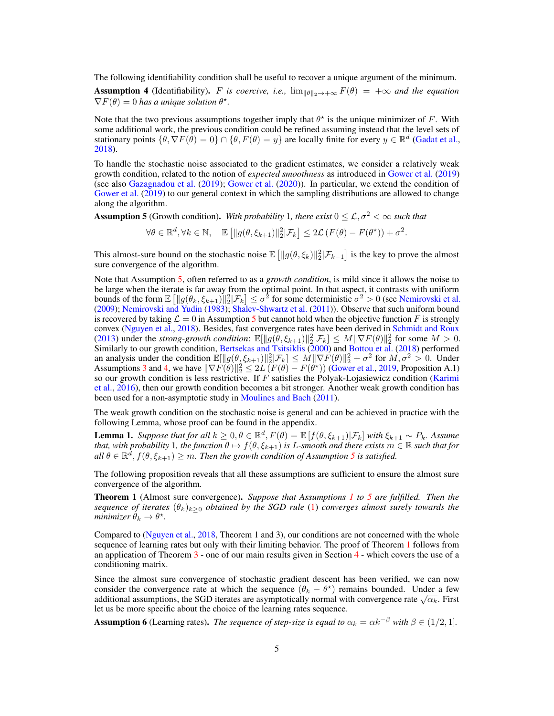The following identifiability condition shall be useful to recover a unique argument of the minimum.

<span id="page-4-0"></span>**Assumption 4** (Identifiability). F is coercive, i.e.,  $\lim_{\|\theta\|_2\to+\infty} F(\theta) = +\infty$  and the equation  $\nabla F(\theta) = 0$  has a unique solution  $\theta^*$ .

Note that the two previous assumptions together imply that  $\theta^*$  is the unique minimizer of F. With some additional work, the previous condition could be refined assuming instead that the level sets of stationary points  $\{\theta, \nabla F(\dot{\theta}) = 0\} \cap \{\theta, F(\theta) = y\}$  are locally finite for every  $y \in \mathbb{R}^d$  [\(Gadat et al.,](#page-29-13) [2018\)](#page-29-13).

To handle the stochastic noise associated to the gradient estimates, we consider a relatively weak growth condition, related to the notion of *expected smoothness* as introduced in [Gower et al.](#page-29-11) [\(2019\)](#page-29-11) (see also [Gazagnadou et al.](#page-29-14) [\(2019\)](#page-29-14); [Gower et al.](#page-29-2) [\(2020\)](#page-29-2)). In particular, we extend the condition of [Gower et al.](#page-29-11) [\(2019\)](#page-29-11) to our general context in which the sampling distributions are allowed to change along the algorithm.

<span id="page-4-1"></span>**Assumption 5** (Growth condition). *With probability* 1*, there exist*  $0 \leq \mathcal{L}, \sigma^2 < \infty$  *such that* 

 $\forall \theta \in \mathbb{R}^d, \forall k \in \mathbb{N}, \quad \mathbb{E} \left[ ||g(\theta, \xi_{k+1})||_2^2 | \mathcal{F}_k \right] \leq 2\mathcal{L} \left( F(\theta) - F(\theta^{\star}) \right) + \sigma^2.$ 

This almost-sure bound on the stochastic noise  $\mathbb{E} \left[ \|g(\theta, \xi_k)\|_2^2 | \mathcal{F}_{k-1} \right]$  is the key to prove the almost sure convergence of the algorithm.

Note that Assumption [5,](#page-4-1) often referred to as a *growth condition*, is mild since it allows the noise to be large when the iterate is far away from the optimal point. In that aspect, it contrasts with uniform bounds of the form  $\mathbb{E} \left[ \| g(\theta_k, \xi_{k+1}) \|_2^2 | \mathcal{F}_k \right] \leq \sigma^2$  for some deterministic  $\sigma^2 > 0$  (see [Nemirovski et al.](#page-30-14) [\(2009\)](#page-30-14); [Nemirovski and Yudin](#page-30-15) [\(1983\)](#page-30-15); [Shalev-Shwartz et al.](#page-30-16) [\(2011\)](#page-30-16)). Observe that such uniform bound is recovered by taking  $\mathcal{L} = 0$  in Assumption [5](#page-4-1) but cannot hold when the objective function F is strongly convex [\(Nguyen et al.,](#page-30-17) [2018\)](#page-30-17). Besides, fast convergence rates have been derived in [Schmidt and Roux](#page-30-18) [\(2013\)](#page-30-18) under the *strong-growth condition*:  $\mathbb{E}[\Vert g(\theta, \xi_{k+1}) \Vert^2_2 | \mathcal{F}_k] \leq M \Vert \nabla F(\theta) \Vert^2_2$  for some  $M > 0$ . Similarly to our growth condition, [Bertsekas and Tsitsiklis](#page-28-6) [\(2000\)](#page-28-6) and [Bottou et al.](#page-28-0) [\(2018\)](#page-28-0) performed an analysis under the condition  $\mathbb{E}[\|g(\theta, \xi_{k+1})\|_2^2 | \mathcal{F}_k] \leq M \|\nabla F(\theta)\|_2^2 + \sigma^2$  for  $M, \sigma^2 > 0$ . Under Assumptions [3](#page-3-1) and [4,](#page-4-0) we have  $\|\nabla F(\theta)\|^2 \leq 2L(F(\theta) - F(\theta^*))$  [\(Gower et al.,](#page-29-11) [2019,](#page-29-11) Proposition A.1) so our growth condition is less restrictive. If  $F$  satisfies the Polyak-Lojasiewicz condition [\(Karimi](#page-29-15) [et al.,](#page-29-15) [2016\)](#page-29-15), then our growth condition becomes a bit stronger. Another weak growth condition has been used for a non-asymptotic study in [Moulines and Bach](#page-30-5) [\(2011\)](#page-30-5).

The weak growth condition on the stochastic noise is general and can be achieved in practice with the following Lemma, whose proof can be found in the appendix.

**Lemma 1.** Suppose that for all  $k \geq 0, \theta \in \mathbb{R}^d$ ,  $F(\theta) = \mathbb{E}[f(\theta, \xi_{k+1}) | \mathcal{F}_k]$  with  $\xi_{k+1} \sim P_k$ . Assume *that, with probability* 1*, the function*  $\theta \mapsto f(\theta, \xi_{k+1})$  *is L-smooth and there exists*  $m \in \mathbb{R}$  *such that for*  $all \ \theta \in \mathbb{R}^d$ ,  $f(\theta, \xi_{k+1}) \geq m$ . Then the growth condition of Assumption [5](#page-4-1) is satisfied.

The following proposition reveals that all these assumptions are sufficient to ensure the almost sure convergence of the algorithm.

<span id="page-4-2"></span>Theorem 1 (Almost sure convergence). *Suppose that Assumptions [1](#page-2-1) to [5](#page-4-1) are fulfilled. Then the sequence of iterates*  $(\theta_k)_{k>0}$  *obtained by the SGD rule* [\(1\)](#page-2-2) *converges almost surely towards the*  $minimize \hat{\theta}_k \rightarrow \theta^*$ .

Compared to [\(Nguyen et al.,](#page-30-17) [2018,](#page-30-17) Theorem 1 and 3), our conditions are not concerned with the whole sequence of learning rates but only with their limiting behavior. The proof of Theorem [1](#page-4-2) follows from an application of Theorem [3](#page-6-0) - one of our main results given in Section [4](#page-5-0) - which covers the use of a conditioning matrix.

Since the almost sure convergence of stochastic gradient descent has been verified, we can now consider the convergence rate at which the sequence  $(\theta_k - \theta^*)$  remains bounded. Under a few consider the convergence rate at which the sequence  $(v_k - \sigma)$  remains bounded. Onder a rew additional assumptions, the SGD iterates are asymptotically normal with convergence rate  $\sqrt{\alpha_k}$ . First let us be more specific about the choice of the learning rates sequence.

**Assumption 6** (Learning rates). *The sequence of step-size is equal to*  $\alpha_k = \alpha k^{-\beta}$  *with*  $\beta \in (1/2, 1]$ *.*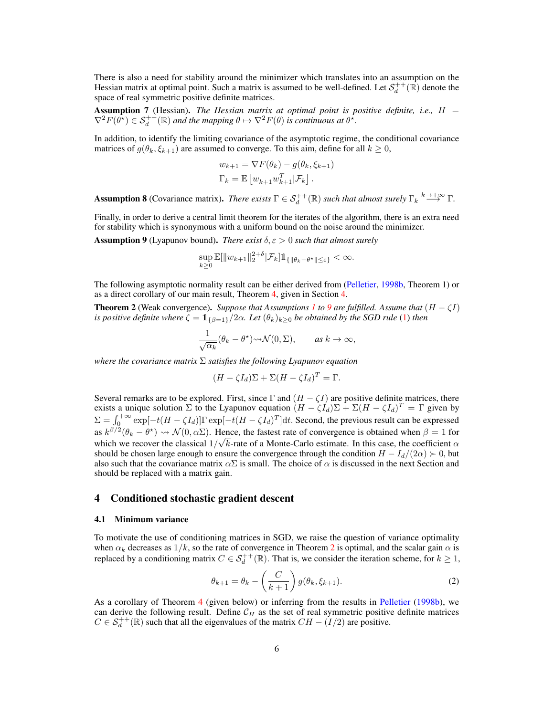There is also a need for stability around the minimizer which translates into an assumption on the Hessian matrix at optimal point. Such a matrix is assumed to be well-defined. Let  $S_d^{++}(\mathbb{R})$  denote the space of real symmetric positive definite matrices.

<span id="page-5-3"></span>Assumption 7 (Hessian). *The Hessian matrix at optimal point is positive definite, i.e.,* H =  $\nabla^2 F(\hat{\theta^*}) \in \mathcal{S}_d^{++}(\mathbb{R})$  and the mapping  $\theta \mapsto \nabla^2 F(\theta)$  is continuous at  $\theta^*$ .

In addition, to identify the limiting covariance of the asymptotic regime, the conditional covariance matrices of  $g(\theta_k, \xi_{k+1})$  are assumed to converge. To this aim, define for all  $k \geq 0$ ,

$$
w_{k+1} = \nabla F(\theta_k) - g(\theta_k, \xi_{k+1})
$$
  
\n
$$
\Gamma_k = \mathbb{E}\left[w_{k+1} w_{k+1}^T | \mathcal{F}_k\right].
$$

<span id="page-5-4"></span>Assumption 8 (Covariance matrix). *There exists*  $\Gamma \in S_d^{++}(\mathbb{R})$  *such that almost surely*  $\Gamma_k \stackrel{k \to +\infty}{\longrightarrow} \Gamma$ .

Finally, in order to derive a central limit theorem for the iterates of the algorithm, there is an extra need for stability which is synonymous with a uniform bound on the noise around the minimizer.

<span id="page-5-1"></span>**Assumption 9** (Lyapunov bound). *There exist*  $\delta, \epsilon > 0$  *such that almost surely* 

$$
\sup_{k\geq 0}\mathbb{E}[\|w_{k+1}\|_2^{2+\delta}|\mathcal{F}_k]\mathbb{1}_{\{\|\theta_k-\theta^*\|\leq \varepsilon\}}<\infty.
$$

The following asymptotic normality result can be either derived from [\(Pelletier,](#page-30-6) [1998b,](#page-30-6) Theorem 1) or as a direct corollary of our main result, Theorem [4,](#page-7-0) given in Section [4.](#page-5-0)

<span id="page-5-2"></span>**Theorem 2** (Weak convergence). *Suppose that Assumptions [1](#page-2-1) to* [9](#page-5-1) are fulfilled. Assume that  $(H - \zeta I)$ *is positive definite where*  $\zeta = 1_{\{\beta=1\}}/2\alpha$ *. Let*  $(\theta_k)_{k\geq 0}$  *be obtained by the SGD rule* [\(1\)](#page-2-2) *then* 

$$
\frac{1}{\sqrt{\alpha_k}}(\theta_k - \theta^*) \rightsquigarrow \mathcal{N}(0, \Sigma), \quad \text{as } k \to \infty,
$$

*where the covariance matrix* Σ *satisfies the following Lyapunov equation*

$$
(H - \zeta I_d)\Sigma + \Sigma (H - \zeta I_d)^T = \Gamma.
$$

Several remarks are to be explored. First, since  $\Gamma$  and  $(H - \zeta I)$  are positive definite matrices, there exists a unique solution  $\Sigma$  to the Lyapunov equation  $(H - \zeta I_d)\Sigma + \Sigma (H - \zeta I_d)^T = \Gamma$  given by  $\Sigma = \int_0^{+\infty} \exp[-t(H - \zeta I_d)] \Gamma \exp[-t(H - \zeta I_d)^T] dt$ . Second, the previous result can be expressed as  $k^{\beta/2}(\theta_k - \theta^*) \rightsquigarrow \mathcal{N}(0, \alpha \Sigma)$ . Hence, the fastest rate of convergence is obtained when  $\beta = 1$  for which we recover the classical  $1/\sqrt{k}$ -rate of a Monte-Carlo estimate. In this case, the coefficient  $\alpha$ should be chosen large enough to ensure the convergence through the condition  $H - I_d/(2\alpha) > 0$ , but also such that the covariance matrix  $\alpha \Sigma$  is small. The choice of  $\alpha$  is discussed in the next Section and should be replaced with a matrix gain.

## <span id="page-5-0"></span>4 Conditioned stochastic gradient descent

#### 4.1 Minimum variance

To motivate the use of conditioning matrices in SGD, we raise the question of variance optimality when  $\alpha_k$  decreases as  $1/k$ , so the rate of convergence in Theorem [2](#page-5-2) is optimal, and the scalar gain  $\alpha$  is replaced by a conditioning matrix  $C \in \mathcal{S}_d^{++}(\mathbb{R})$ . That is, we consider the iteration scheme, for  $k \geq 1$ ,

<span id="page-5-5"></span>
$$
\theta_{k+1} = \theta_k - \left(\frac{C}{k+1}\right) g(\theta_k, \xi_{k+1}).
$$
\n(2)

As a corollary of Theorem [4](#page-7-0) (given below) or inferring from the results in [Pelletier](#page-30-6) [\(1998b\)](#page-30-6), we can derive the following result. Define  $C_H$  as the set of real symmetric positive definite matrices  $C \in \mathcal{S}_d^{++}(\mathbb{R})$  such that all the eigenvalues of the matrix  $CH - (I/2)$  are positive.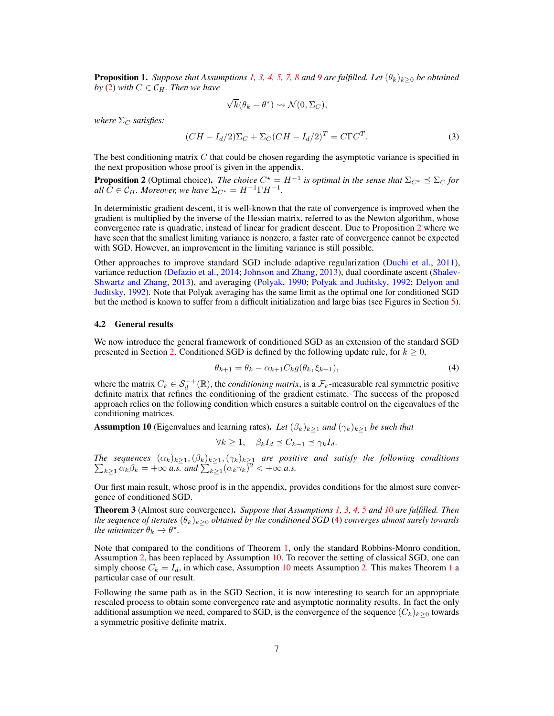**Proposition 1.** *Suppose that Assumptions* [1,](#page-2-1) [3,](#page-3-1) [4,](#page-4-0) [5,](#page-4-1) [7,](#page-5-3) [8](#page-5-4) *and* [9](#page-5-1) *are fulfilled. Let*  $(\theta_k)_{k>0}$  *be obtained by* [\(2\)](#page-5-5) *with*  $C \in \mathcal{C}_H$ *. Then we have* 

$$
\sqrt{k}(\theta_k - \theta^*) \rightsquigarrow \mathcal{N}(0, \Sigma_C),
$$

*where*  $\Sigma_C$  *satisfies:* 

$$
(CH - Id/2)\Sigma_C + \Sigma_C (CH - Id/2)^T = C\Gamma C^T.
$$
\n(3)

The best conditioning matrix C that could be chosen regarding the asymptotic variance is specified in the next proposition whose proof is given in the appendix.

<span id="page-6-1"></span>**Proposition 2** (Optimal choice). *The choice*  $C^* = H^{-1}$  *is optimal in the sense that*  $\Sigma_{C^*} \preceq \Sigma_C$  *for all*  $\tilde{C} \in \mathcal{C}_H$ *. Moreover, we have*  $\Sigma_{C^*} = H^{-1} \Gamma H^{-1}$ *.* 

In deterministic gradient descent, it is well-known that the rate of convergence is improved when the gradient is multiplied by the inverse of the Hessian matrix, referred to as the Newton algorithm, whose convergence rate is quadratic, instead of linear for gradient descent. Due to Proposition [2](#page-6-1) where we have seen that the smallest limiting variance is nonzero, a faster rate of convergence cannot be expected with SGD. However, an improvement in the limiting variance is still possible.

Other approaches to improve standard SGD include adaptive regularization [\(Duchi et al.,](#page-29-1) [2011\)](#page-29-1), variance reduction [\(Defazio et al.,](#page-28-15) [2014;](#page-28-15) [Johnson and Zhang,](#page-29-16) [2013\)](#page-29-16), dual coordinate ascent [\(Shalev-](#page-30-19)[Shwartz and Zhang,](#page-30-19) [2013\)](#page-30-19), and averaging [\(Polyak,](#page-30-10) [1990;](#page-30-10) [Polyak and Juditsky,](#page-30-11) [1992;](#page-30-11) [Delyon and](#page-28-16) [Juditsky,](#page-28-16) [1992\)](#page-28-16). Note that Polyak averaging has the same limit as the optimal one for conditioned SGD but the method is known to suffer from a difficult initialization and large bias (see Figures in Section [5\)](#page-8-0).

#### 4.2 General results

We now introduce the general framework of conditioned SGD as an extension of the standard SGD presented in Section [2.](#page-2-0) Conditioned SGD is defined by the following update rule, for  $k \geq 0$ ,

<span id="page-6-3"></span>
$$
\theta_{k+1} = \theta_k - \alpha_{k+1} C_k g(\theta_k, \xi_{k+1}),\tag{4}
$$

where the matrix  $C_k \in \mathcal{S}_d^{++}(\mathbb{R})$ , the *conditioning matrix*, is a  $\mathcal{F}_k$ -measurable real symmetric positive definite matrix that refines the conditioning of the gradient estimate. The success of the proposed approach relies on the following condition which ensures a suitable control on the eigenvalues of the conditioning matrices.

<span id="page-6-2"></span>**Assumption 10** (Eigenvalues and learning rates). Let  $(\beta_k)_{k\geq 1}$  and  $(\gamma_k)_{k\geq 1}$  be such that

$$
\forall k \ge 1, \quad \beta_k I_d \preceq C_{k-1} \preceq \gamma_k I_d.
$$

*The sequences* P  $(\alpha_k)_{k\geq 1},(\beta_k)_{k\geq 1},(\gamma_k)_{k\geq 1}$  are positive and satisfy the following conditions  $\lambda_{k\geq 1} \alpha_k \beta_k = +\infty$  *a.s.* and  $\sum_{k\geq 1} (\alpha_k \gamma_k)^2 < +\infty$  *a.s.* 

Our first main result, whose proof is in the appendix, provides conditions for the almost sure convergence of conditioned SGD.

<span id="page-6-0"></span>Theorem 3 (Almost sure convergence). *Suppose that Assumptions [1,](#page-2-1) [3,](#page-3-1) [4,](#page-4-0) [5](#page-4-1) and [10](#page-6-2) are fulfilled. Then the sequence of iterates*  $(\theta_k)_{k>0}$  *obtained by the conditioned SGD* [\(4\)](#page-6-3) *converges almost surely towards the minimizer*  $\theta_k \to \theta^*$ .

Note that compared to the conditions of Theorem [1,](#page-4-2) only the standard Robbins-Monro condition, Assumption [2,](#page-2-3) has been replaced by Assumption [10.](#page-6-2) To recover the setting of classical SGD, one can simply choose  $C_k = I_d$ , in which case, Assumption [10](#page-6-2) meets Assumption [2.](#page-2-3) This makes Theorem [1](#page-4-2) a particular case of our result.

Following the same path as in the SGD Section, it is now interesting to search for an appropriate rescaled process to obtain some convergence rate and asymptotic normality results. In fact the only additional assumption we need, compared to SGD, is the convergence of the sequence  $(C_k)_{k\geq 0}$  towards a symmetric positive definite matrix.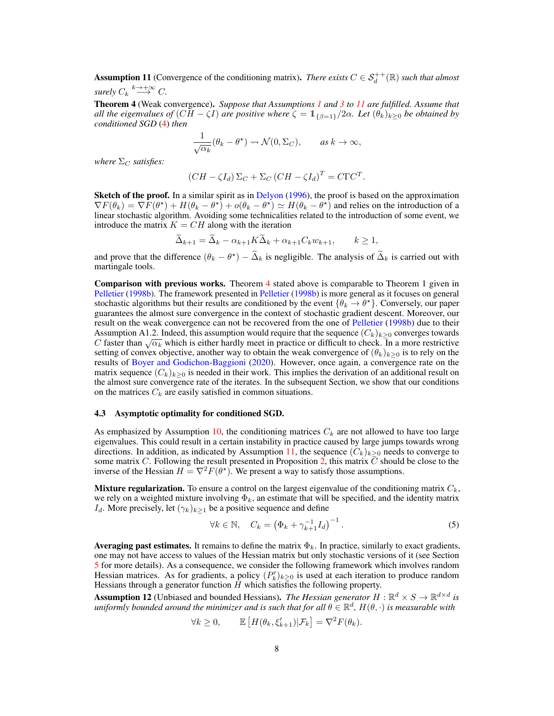<span id="page-7-1"></span>Assumption 11 (Convergence of the conditioning matrix). *There exists*  $C \in S_d^{++}(\mathbb{R})$  *such that almost surely*  $C_k \stackrel{k \to +\infty}{\longrightarrow} C$ .

<span id="page-7-0"></span>Theorem 4 (Weak convergence). *Suppose that Assumptions [1](#page-2-1) and [3](#page-3-1) to [11](#page-7-1) are fulfilled. Assume that all the eigenvalues of*  $(CH - \zeta I)$  *are positive where*  $\zeta = 1_{\{\beta=1\}}/2\alpha$ *. Let*  $(\theta_k)_{k>0}$  *be obtained by conditioned SGD* [\(4\)](#page-6-3) *then*

$$
\frac{1}{\sqrt{\alpha_k}}(\theta_k - \theta^*) \rightsquigarrow \mathcal{N}(0, \Sigma_C), \quad \text{as } k \to \infty,
$$

*where*  $\Sigma_C$  *satisfies:* 

$$
(CH - \zeta I_d) \Sigma_C + \Sigma_C (CH - \zeta I_d)^T = C\Gamma C^T.
$$

Sketch of the proof. In a similar spirit as in [Delyon](#page-28-8) [\(1996\)](#page-28-8), the proof is based on the approximation  $\nabla F(\theta_k) = \nabla F(\theta^*) + H(\theta_k - \theta^*) + o(\theta_k - \theta^*) \simeq H(\theta_k - \theta^*)$  and relies on the introduction of a linear stochastic algorithm. Avoiding some technicalities related to the introduction of some event, we introduce the matrix  $K = CH$  along with the iteration

$$
\tilde{\Delta}_{k+1} = \tilde{\Delta}_k - \alpha_{k+1} K \tilde{\Delta}_k + \alpha_{k+1} C_k w_{k+1}, \qquad k \ge 1,
$$

and prove that the difference  $(\theta_k - \theta^*) - \tilde{\Delta}_k$  is negligible. The analysis of  $\tilde{\Delta}_k$  is carried out with martingale tools.

Comparison with previous works. Theorem [4](#page-7-0) stated above is comparable to Theorem 1 given in [Pelletier](#page-30-6) [\(1998b\)](#page-30-6). The framework presented in [Pelletier](#page-30-6) [\(1998b\)](#page-30-6) is more general as it focuses on general stochastic algorithms but their results are conditioned by the event  $\{\theta_k \to \theta^*\}$ . Conversely, our paper guarantees the almost sure convergence in the context of stochastic gradient descent. Moreover, our result on the weak convergence can not be recovered from the one of [Pelletier](#page-30-6) [\(1998b\)](#page-30-6) due to their Assumption A1.2. Indeed, this assumption would require that the sequence  $(C_k)_{k>0}$  converges towards Assumption A1.2. Indeed, this assumption would require that the sequence  $(C_k)_{k\geq 0}$  converges towards C faster than  $\sqrt{\alpha_k}$  which is either hardly meet in practice or difficult to check. In a more restrictive setting of convex objective, another way to obtain the weak convergence of  $(\theta_k)_{k>0}$  is to rely on the results of [Boyer and Godichon-Baggioni](#page-28-10) [\(2020\)](#page-28-10). However, once again, a convergence rate on the matrix sequence  $(C_k)_{k\geq 0}$  is needed in their work. This implies the derivation of an additional result on the almost sure convergence rate of the iterates. In the subsequent Section, we show that our conditions on the matrices  $C_k$  are easily satisfied in common situations.

#### <span id="page-7-4"></span>4.3 Asymptotic optimality for conditioned SGD.

As emphasized by Assumption [10,](#page-6-2) the conditioning matrices  $C_k$  are not allowed to have too large eigenvalues. This could result in a certain instability in practice caused by large jumps towards wrong directions. In addition, as indicated by Assumption [11,](#page-7-1) the sequence  $(C_k)_{k>0}$  needs to converge to some matrix C. Following the result presented in Proposition [2,](#page-6-1) this matrix  $\overline{C}$  should be close to the inverse of the Hessian  $H = \nabla^2 F(\theta^*)$ . We present a way to satisfy those assumptions.

**Mixture regularization.** To ensure a control on the largest eigenvalue of the conditioning matrix  $C_k$ , we rely on a weighted mixture involving  $\Phi_k$ , an estimate that will be specified, and the identity matrix  $I_d$ . More precisely, let  $(\gamma_k)_{k\geq 1}$  be a positive sequence and define

<span id="page-7-3"></span>
$$
\forall k \in \mathbb{N}, \quad C_k = \left(\Phi_k + \gamma_{k+1}^{-1} I_d\right)^{-1}.
$$
 (5)

**Averaging past estimates.** It remains to define the matrix  $\Phi_k$ . In practice, similarly to exact gradients, one may not have access to values of the Hessian matrix but only stochastic versions of it (see Section [5](#page-8-0) for more details). As a consequence, we consider the following framework which involves random Hessian matrices. As for gradients, a policy  $(P'_k)_{k\geq 0}$  is used at each iteration to produce random Hessians through a generator function  $H$  which satisfies the following property.

<span id="page-7-2"></span>**Assumption 12** (Unbiased and bounded Hessians). *The Hessian generator*  $H : \mathbb{R}^d \times S \to \mathbb{R}^{d \times d}$  is  $u$ niformly bounded around the minimizer and is such that for all  $\theta \in \mathbb{R}^d$ ,  $H(\theta, \cdot)$  is measurable with

$$
\forall k \ge 0, \qquad \mathbb{E}\left[H(\theta_k, \xi'_{k+1}) | \mathcal{F}_k\right] = \nabla^2 F(\theta_k).
$$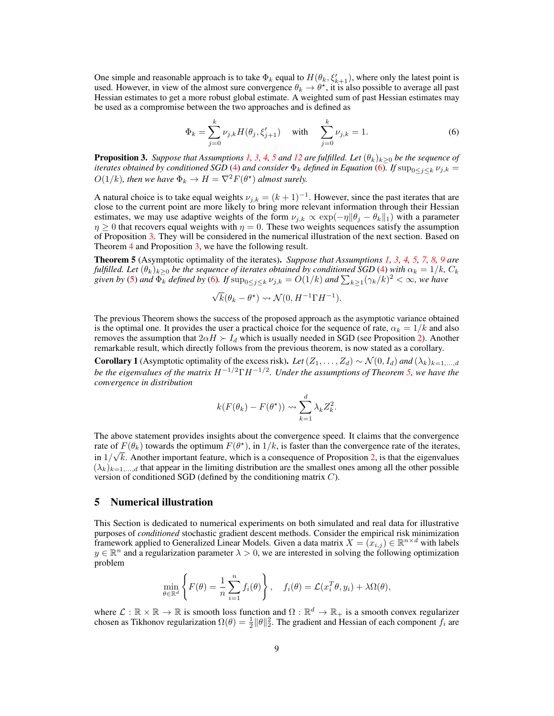One simple and reasonable approach is to take  $\Phi_k$  equal to  $H(\theta_k, \xi'_{k+1})$ , where only the latest point is used. However, in view of the almost sure convergence  $\theta_k \to \theta^*$ , it is also possible to average all past Hessian estimates to get a more robust global estimate. A weighted sum of past Hessian estimates may be used as a compromise between the two approaches and is defined as

<span id="page-8-1"></span>
$$
\Phi_k = \sum_{j=0}^k \nu_{j,k} H(\theta_j, \xi'_{j+1}) \quad \text{with} \quad \sum_{j=0}^k \nu_{j,k} = 1.
$$
 (6)

<span id="page-8-2"></span>**Proposition 3.** *Suppose that Assumptions [1,](#page-2-1) [3,](#page-3-1) [4,](#page-4-0) [5](#page-4-1) and [12](#page-7-2) are fulfilled. Let*  $(\theta_k)_{k\geq0}$  *be the sequence of iterates obtained by conditioned SGD* [\(4\)](#page-6-3) *and consider*  $\Phi_k$  *defined in Equation* [\(6\)](#page-8-1)*. If*  $\sup_{0 \le j \le k} \nu_{j,k}$  $O(1/k)$ *, then we have*  $\Phi_k \to H = \nabla^2 F(\theta^*)$  *almost surely.* 

A natural choice is to take equal weights  $\nu_{j,k} = (k+1)^{-1}$ . However, since the past iterates that are close to the current point are more likely to bring more relevant information through their Hessian estimates, we may use adaptive weights of the form  $\nu_{j,k} \propto \exp(-\eta ||\theta_j - \theta_k||_1)$  with a parameter  $\eta \geq 0$  that recovers equal weights with  $\eta = 0$ . These two weights sequences satisfy the assumption of Proposition [3.](#page-8-2) They will be considered in the numerical illustration of the next section. Based on Theorem [4](#page-7-0) and Proposition [3,](#page-8-2) we have the following result.

<span id="page-8-3"></span>Theorem 5 (Asymptotic optimality of the iterates). *Suppose that Assumptions [1,](#page-2-1) [3,](#page-3-1) [4,](#page-4-0) [5,](#page-4-1) [7,](#page-5-3) [8,](#page-5-4) [9](#page-5-1) are fulfilled. Let*  $(\theta_k)_{k\geq 0}$  *be the sequence of iterates obtained by conditioned SGD* [\(4\)](#page-6-3) *with*  $\alpha_k=1/k$ ,  $C_k$ given by [\(5\)](#page-7-3) and  $\Phi_k$  defined by [\(6\)](#page-8-1). If  $\sup_{0 \leq j \leq k} \nu_{j,k} = O(1/k)$  and  $\sum_{k \geq 1} (\gamma_k/k)^2 < \infty$ , we have

$$
\sqrt{k}(\theta_k - \theta^*) \rightsquigarrow \mathcal{N}(0, H^{-1}\Gamma H^{-1}).
$$

The previous Theorem shows the success of the proposed approach as the asymptotic variance obtained is the optimal one. It provides the user a practical choice for the sequence of rate,  $\alpha_k = 1/k$  and also removes the assumption that  $2\alpha H \succ I_d$  which is usually needed in SGD (see Proposition [2\)](#page-5-2). Another remarkable result, which directly follows from the previous theorem, is now stated as a corollary.

**Corollary 1** (Asymptotic optimality of the excess risk). Let  $(Z_1, \ldots, Z_d) \sim \mathcal{N}(0, I_d)$  and  $(\lambda_k)_{k=1,\ldots,d}$ *be the eigenvalues of the matrix* H<sup>−</sup>1/2ΓH<sup>−</sup>1/<sup>2</sup> *. Under the assumptions of Theorem [5,](#page-8-3) we have the convergence in distribution*

$$
k(F(\theta_k) - F(\theta^*)) \leadsto \sum_{k=1}^d \lambda_k Z_k^2.
$$

The above statement provides insights about the convergence speed. It claims that the convergence rate of  $F(\theta_k)$  towards the optimum  $F(\theta^*)$ , in  $1/k$ , is faster than the convergence rate of the iterates, in  $1/\sqrt{k}$ . Another important feature, which is a consequence of Proposition [2,](#page-6-1) is that the eigenvalues  $(\lambda_k)_{k=1,\dots,d}$  that appear in the limiting distribution are the smallest ones among all the other possible version of conditioned SGD (defined by the conditioning matrix C).

## <span id="page-8-0"></span>5 Numerical illustration

This Section is dedicated to numerical experiments on both simulated and real data for illustrative purposes of *conditioned* stochastic gradient descent methods. Consider the empirical risk minimization framework applied to Generalized Linear Models. Given a data matrix  $X = (x_{i,j}) \in \mathbb{R}^{n \times d}$  with labels  $y \in \mathbb{R}^n$  and a regularization parameter  $\lambda > 0$ , we are interested in solving the following optimization problem

$$
\min_{\theta \in \mathbb{R}^d} \left\{ F(\theta) = \frac{1}{n} \sum_{i=1}^n f_i(\theta) \right\}, \quad f_i(\theta) = \mathcal{L}(x_i^T \theta, y_i) + \lambda \Omega(\theta),
$$

where  $\mathcal{L}: \mathbb{R} \times \mathbb{R} \to \mathbb{R}$  is smooth loss function and  $\Omega: \mathbb{R}^d \to \mathbb{R}_+$  is a smooth convex regularizer chosen as Tikhonov regularization  $\Omega(\theta) = \frac{1}{2} ||\theta||_2^2$ . The gradient and Hessian of each component  $f_i$  are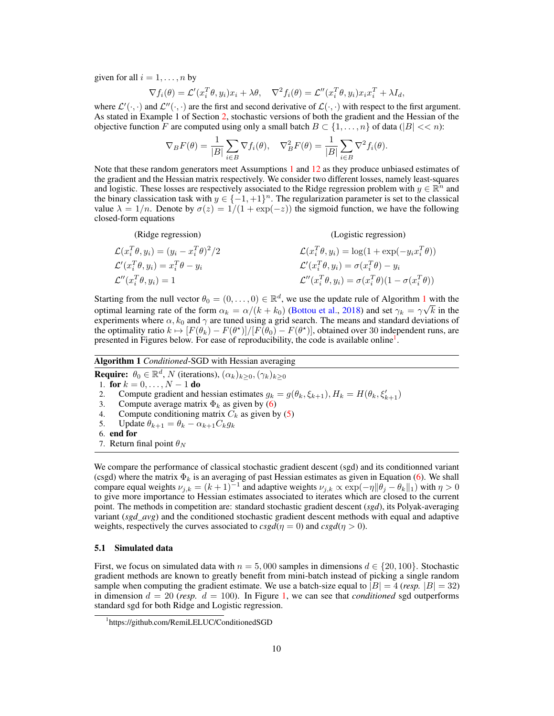given for all  $i = 1, \ldots, n$  by

$$
\nabla f_i(\theta) = \mathcal{L}'(x_i^T \theta, y_i)x_i + \lambda \theta, \quad \nabla^2 f_i(\theta) = \mathcal{L}''(x_i^T \theta, y_i)x_i x_i^T + \lambda I_d,
$$

where  $\mathcal{L}'(\cdot,\cdot)$  and  $\mathcal{L}''(\cdot,\cdot)$  are the first and second derivative of  $\mathcal{L}(\cdot,\cdot)$  with respect to the first argument. As stated in Example 1 of Section [2,](#page-2-0) stochastic versions of both the gradient and the Hessian of the objective function F are computed using only a small batch  $B \subset \{1, \ldots, n\}$  of data ( $|B| \ll \infty$ ):

$$
\nabla_B F(\theta) = \frac{1}{|B|} \sum_{i \in B} \nabla f_i(\theta), \quad \nabla_B^2 F(\theta) = \frac{1}{|B|} \sum_{i \in B} \nabla^2 f_i(\theta).
$$

Note that these random generators meet Assumptions [1](#page-2-1) and [12](#page-7-2) as they produce unbiased estimates of the gradient and the Hessian matrix respectively. We consider two different losses, namely least-squares and logistic. These losses are respectively associated to the Ridge regression problem with  $y \in \mathbb{R}^n$  and the binary classication task with  $y \in \{-1, +1\}^n$ . The regularization parameter is set to the classical value  $\lambda = 1/n$ . Denote by  $\sigma(z) = 1/(1 + \exp(-z))$  the sigmoid function, we have the following closed-form equations

(Ridge regression)  
\n
$$
\mathcal{L}(x_i^T \theta, y_i) = (y_i - x_i^T \theta)^2 / 2
$$
\n
$$
\mathcal{L}(x_i^T \theta, y_i) = \log(1 + \exp(-y_i x_i^T \theta))
$$
\n
$$
\mathcal{L}'(x_i^T \theta, y_i) = x_i^T \theta - y_i
$$
\n
$$
\mathcal{L}'(x_i^T \theta, y_i) = \sigma(x_i^T \theta) - y_i
$$
\n
$$
\mathcal{L}'(x_i^T \theta, y_i) = \sigma(x_i^T \theta) (1 - \sigma(x_i^T \theta))
$$

Starting from the null vector  $\theta_0 = (0, \ldots, 0) \in \mathbb{R}^d$ , we use the update rule of Algorithm [1](#page-9-0) with the optimal learning rate of the form  $\alpha_k = \alpha/(k + k_0)$  [\(Bottou et al.,](#page-28-0) [2018\)](#page-28-0) and set  $\gamma_k = \gamma \sqrt{k}$  in the experiments where  $\alpha$ ,  $k_0$  and  $\gamma$  are tuned using a grid search. The means and standard deviations of the optimality ratio  $k \mapsto [F(\theta_k) - F(\theta^*)]/[F(\theta_0) - F(\theta^*)]$ , obtained over 30 independent runs, are presented in Figures below. For ease of reproducibility, the code is available online<sup>[1](#page-9-1)</sup>.

## Algorithm 1 *Conditioned*-SGD with Hessian averaging

**Require:**  $\theta_0 \in \mathbb{R}^d$ , N (iterations),  $(\alpha_k)_{k \geq 0}, (\gamma_k)_{k \geq 0}$ 1. for  $k = 0, ..., N - 1$  do 2. Compute gradient and hessian estimates  $g_k = g(\theta_k, \xi_{k+1}), H_k = H(\theta_k, \xi'_{k+1})$ 3. Compute average matrix  $\Phi_k$  as given by [\(6\)](#page-8-1) 4. Compute conditioning matrix  $C_k$  as given by [\(5\)](#page-7-3)<br>5. Update  $\theta_{k+1} = \theta_k - \alpha_{k+1} C_k q_k$ Update  $\theta_{k+1} = \theta_k - \alpha_{k+1} C_k g_k$ 6. end for 7. Return final point  $\theta_N$ 

<span id="page-9-0"></span>We compare the performance of classical stochastic gradient descent (sgd) and its conditionned variant (csgd) where the matrix  $\Phi_k$  is an averaging of past Hessian estimates as given in Equation [\(6\)](#page-8-1). We shall compare equal weights  $\nu_{j,k} = (k+1)^{-1}$  and adaptive weights  $\nu_{j,k} \propto \exp(-\eta ||\theta_j - \theta_k||_1)$  with  $\eta > 0$ to give more importance to Hessian estimates associated to iterates which are closed to the current point. The methods in competition are: standard stochastic gradient descent (*sgd*), its Polyak-averaging variant (*sgd\_avg*) and the conditioned stochastic gradient descent methods with equal and adaptive weights, respectively the curves associated to  $csgd(\eta = 0)$  and  $csgd(\eta > 0)$ .

#### 5.1 Simulated data

First, we focus on simulated data with  $n = 5,000$  samples in dimensions  $d \in \{20,100\}$ . Stochastic gradient methods are known to greatly benefit from mini-batch instead of picking a single random sample when computing the gradient estimate. We use a batch-size equal to  $|B| = 4$  (*resp.*  $|B| = 32$ ) in dimension  $d = 20$  (*resp.*  $d = 100$ ). In Figure [1,](#page-10-0) we can see that *conditioned* sgd outperforms standard sgd for both Ridge and Logistic regression.

<span id="page-9-1"></span><sup>1</sup> https://github.com/RemiLELUC/ConditionedSGD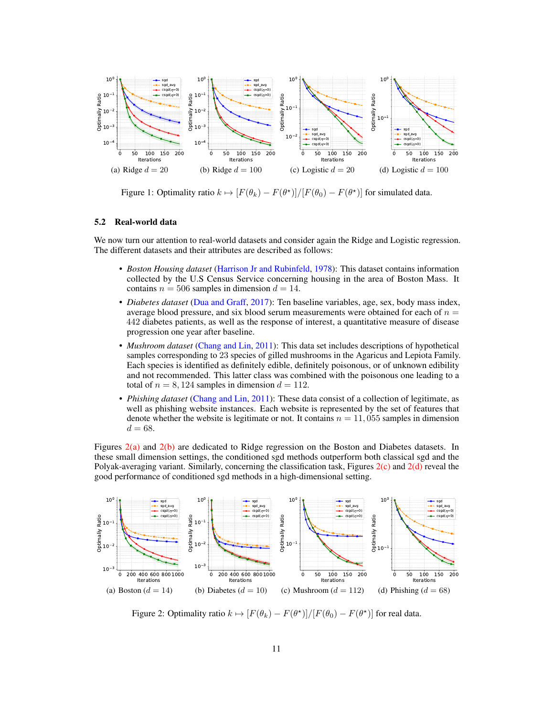

<span id="page-10-0"></span>Figure 1: Optimality ratio  $k \mapsto [F(\theta_k) - F(\theta^*)]/[F(\theta_0) - F(\theta^*)]$  for simulated data.

#### 5.2 Real-world data

We now turn our attention to real-world datasets and consider again the Ridge and Logistic regression. The different datasets and their attributes are described as follows:

- *Boston Housing dataset* [\(Harrison Jr and Rubinfeld,](#page-29-17) [1978\)](#page-29-17): This dataset contains information collected by the U.S Census Service concerning housing in the area of Boston Mass. It contains  $n = 506$  samples in dimension  $d = 14$ .
- *Diabetes dataset* [\(Dua and Graff,](#page-29-18) [2017\)](#page-29-18): Ten baseline variables, age, sex, body mass index, average blood pressure, and six blood serum measurements were obtained for each of  $n =$ 442 diabetes patients, as well as the response of interest, a quantitative measure of disease progression one year after baseline.
- *Mushroom dataset* [\(Chang and Lin,](#page-28-17) [2011\)](#page-28-17): This data set includes descriptions of hypothetical samples corresponding to 23 species of gilled mushrooms in the Agaricus and Lepiota Family. Each species is identified as definitely edible, definitely poisonous, or of unknown edibility and not recommended. This latter class was combined with the poisonous one leading to a total of  $n = 8, 124$  samples in dimension  $d = 112$ .
- *Phishing dataset* [\(Chang and Lin,](#page-28-17) [2011\)](#page-28-17): These data consist of a collection of legitimate, as well as phishing website instances. Each website is represented by the set of features that denote whether the website is legitimate or not. It contains  $n = 11,055$  samples in dimension  $d = 68.$

Figures [2\(a\)](#page-10-1) and [2\(b\)](#page-10-2) are dedicated to Ridge regression on the Boston and Diabetes datasets. In these small dimension settings, the conditioned sgd methods outperform both classical sgd and the Polyak-averaging variant. Similarly, concerning the classification task, Figures  $2(c)$  and  $2(d)$  reveal the good performance of conditioned sgd methods in a high-dimensional setting.

<span id="page-10-1"></span>

<span id="page-10-4"></span><span id="page-10-3"></span><span id="page-10-2"></span>Figure 2: Optimality ratio  $k \mapsto [F(\theta_k) - F(\theta^*)]/[F(\theta_0) - F(\theta^*)]$  for real data.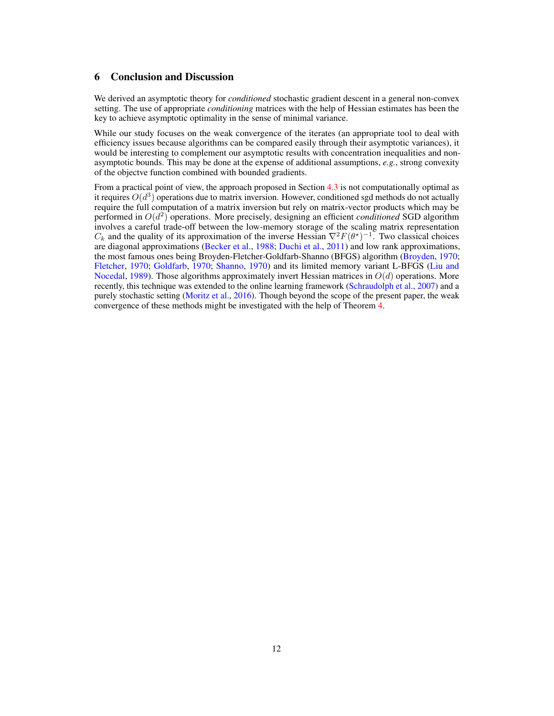## 6 Conclusion and Discussion

We derived an asymptotic theory for *conditioned* stochastic gradient descent in a general non-convex setting. The use of appropriate *conditioning* matrices with the help of Hessian estimates has been the key to achieve asymptotic optimality in the sense of minimal variance.

While our study focuses on the weak convergence of the iterates (an appropriate tool to deal with efficiency issues because algorithms can be compared easily through their asymptotic variances), it would be interesting to complement our asymptotic results with concentration inequalities and nonasymptotic bounds. This may be done at the expense of additional assumptions, *e.g.*, strong convexity of the objectve function combined with bounded gradients.

From a practical point of view, the approach proposed in Section [4.3](#page-7-4) is not computationally optimal as it requires  $O(d^3)$  operations due to matrix inversion. However, conditioned sgd methods do not actually require the full computation of a matrix inversion but rely on matrix-vector products which may be performed in  $O(d^2)$  operations. More precisely, designing an efficient *conditioned* SGD algorithm involves a careful trade-off between the low-memory storage of the scaling matrix representation  $C_k$  and the quality of its approximation of the inverse Hessian  $\nabla^2 F(\theta^*)^{-1}$ . Two classical choices are diagonal approximations [\(Becker et al.,](#page-28-18) [1988;](#page-28-18) [Duchi et al.,](#page-29-1) [2011\)](#page-29-1) and low rank approximations, the most famous ones being Broyden-Fletcher-Goldfarb-Shanno (BFGS) algorithm [\(Broyden,](#page-28-19) [1970;](#page-28-19) [Fletcher,](#page-29-19) [1970;](#page-29-19) [Goldfarb,](#page-29-20) [1970;](#page-29-20) [Shanno,](#page-30-20) [1970\)](#page-30-20) and its limited memory variant L-BFGS [\(Liu and](#page-29-21) [Nocedal,](#page-29-21) [1989\)](#page-29-21). Those algorithms approximately invert Hessian matrices in  $O(d)$  operations. More recently, this technique was extended to the online learning framework [\(Schraudolph et al.,](#page-30-21) [2007\)](#page-30-21) and a purely stochastic setting [\(Moritz et al.,](#page-30-22) [2016\)](#page-30-22). Though beyond the scope of the present paper, the weak convergence of these methods might be investigated with the help of Theorem [4.](#page-7-0)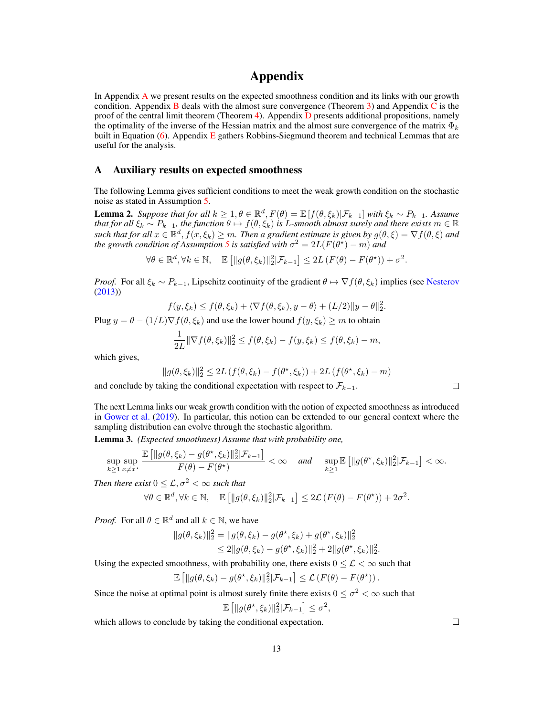## Appendix

In [A](#page-12-0)ppendix A we present results on the expected smoothness condition and its links with our growth condition. Appendix [B](#page-13-0) deals with the almost sure convergence (Theorem [3\)](#page-6-0) and Appendix  $\overline{C}$  $\overline{C}$  $\overline{C}$  is the proof of the central limit theorem (Theorem [4\)](#page-7-0). Appendix [D](#page-23-0) presents additional propositions, namely the optimality of the inverse of the Hessian matrix and the almost sure convergence of the matrix  $\Phi_k$ built in [E](#page-24-0)quation  $(6)$ . Appendix E gathers Robbins-Siegmund theorem and technical Lemmas that are useful for the analysis.

## <span id="page-12-0"></span>A Auxiliary results on expected smoothness

The following Lemma gives sufficient conditions to meet the weak growth condition on the stochastic noise as stated in Assumption [5.](#page-4-1)

**Lemma 2.** Suppose that for all  $k \geq 1, \theta \in \mathbb{R}^d$ ,  $F(\theta) = \mathbb{E}[f(\theta, \xi_k)|\mathcal{F}_{k-1}]$  with  $\xi_k \sim P_{k-1}$ . Assume *that for all*  $\xi_k \sim P_{k-1}$ , the function  $\theta \mapsto f(\theta, \xi_k)$  is L-smooth almost surely and there exists  $m \in \mathbb{R}$ such that for all  $x \in \mathbb{R}^d$ ,  $f(x,\xi_k) \geq m$ . Then a gradient estimate is given by  $g(\theta,\xi) = \nabla f(\theta,\xi)$  and *the growth condition of Assumption* [5](#page-4-1) *is satisfied with*  $\sigma^2 = 2L(F(\theta^*) - m)$  *and* 

$$
\forall \theta \in \mathbb{R}^d, \forall k \in \mathbb{N}, \quad \mathbb{E}\left[\|g(\theta, \xi_k)\|_2^2 | \mathcal{F}_{k-1}\right] \leq 2L\left(F(\theta) - F(\theta^{\star})\right) + \sigma^2.
$$

*Proof.* For all  $\xi_k \sim P_{k-1}$ , Lipschitz continuity of the gradient  $\theta \mapsto \nabla f(\theta, \xi_k)$  implies (see [Nesterov](#page-30-23) [\(2013\)](#page-30-23))

$$
f(y,\xi_k) \le f(\theta,\xi_k) + \langle \nabla f(\theta,\xi_k), y - \theta \rangle + (L/2) \|y - \theta\|_2^2.
$$

Plug  $y = \theta - (1/L)\nabla f(\theta, \xi_k)$  and use the lower bound  $f(y, \xi_k) \ge m$  to obtain

$$
\frac{1}{2L} \|\nabla f(\theta, \xi_k)\|_2^2 \leq f(\theta, \xi_k) - f(y, \xi_k) \leq f(\theta, \xi_k) - m,
$$

which gives,

$$
||g(\theta,\xi_k)||_2^2 \le 2L\left(f(\theta,\xi_k) - f(\theta^\star,\xi_k)\right) + 2L\left(f(\theta^\star,\xi_k) - m\right)
$$

and conclude by taking the conditional expectation with respect to  $\mathcal{F}_{k-1}$ .

The next Lemma links our weak growth condition with the notion of expected smoothness as introduced in [Gower et al.](#page-29-11) [\(2019\)](#page-29-11). In particular, this notion can be extended to our general context where the sampling distribution can evolve through the stochastic algorithm.

Lemma 3. *(Expected smoothness) Assume that with probability one,*

$$
\sup_{k\geq 1}\sup_{x\neq x^\star}\frac{\mathbb{E}\left[\|g(\theta,\xi_k)-g(\theta^\star,\xi_k)\|_2^2|\mathcal{F}_{k-1}\right]}{F(\theta)-F(\theta^\star)}<\infty \quad \text{ and } \quad \sup_{k\geq 1}\mathbb{E}\left[\|g(\theta^\star,\xi_k)\|_2^2|\mathcal{F}_{k-1}\right]<\infty.
$$

*Then there exist*  $0 \leq \mathcal{L}, \sigma^2 < \infty$  *such that* 

$$
\forall \theta \in \mathbb{R}^d, \forall k \in \mathbb{N}, \quad \mathbb{E}\left[\|g(\theta,\xi_k)\|_2^2|\mathcal{F}_{k-1}\right] \leq 2\mathcal{L}\left(F(\theta) - F(\theta^{\star})\right) + 2\sigma^2.
$$

*Proof.* For all  $\theta \in \mathbb{R}^d$  and all  $k \in \mathbb{N}$ , we have

$$
||g(\theta,\xi_k)||_2^2 = ||g(\theta,\xi_k) - g(\theta^*,\xi_k) + g(\theta^*,\xi_k)||_2^2
$$
  
 
$$
\leq 2||g(\theta,\xi_k) - g(\theta^*,\xi_k)||_2^2 + 2||g(\theta^*,\xi_k)||_2^2.
$$

Using the expected smoothness, with probability one, there exists  $0 \leq \mathcal{L} \leq \infty$  such that

$$
\mathbb{E}\left[\|g(\theta,\xi_k)-g(\theta^*,\xi_k)\|_2^2|\mathcal{F}_{k-1}\right]\leq \mathcal{L}\left(F(\theta)-F(\theta^*)\right).
$$

Since the noise at optimal point is almost surely finite there exists  $0 \le \sigma^2 < \infty$  such that

$$
\mathbb{E}\left[\|g(\theta^\star,\xi_k)\|_2^2|\mathcal{F}_{k-1}\right] \leq \sigma^2,
$$

which allows to conclude by taking the conditional expectation.

 $\Box$ 

 $\Box$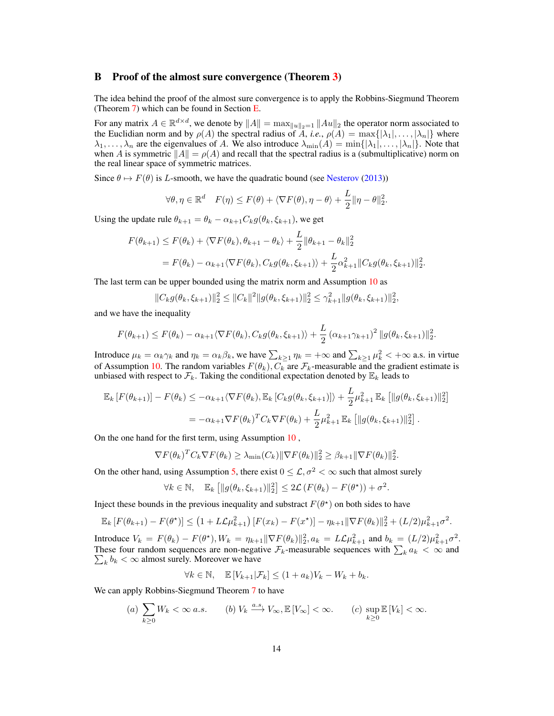## <span id="page-13-0"></span>B Proof of the almost sure convergence (Theorem [3\)](#page-6-0)

The idea behind the proof of the almost sure convergence is to apply the Robbins-Siegmund Theorem (Theorem [7\)](#page-24-1) which can be found in Section [E.](#page-24-0)

For any matrix  $A \in \mathbb{R}^{d \times d}$ , we denote by  $||A|| = \max_{||u||_2=1} ||Au||_2$  the operator norm associated to the Euclidian norm and by  $\rho(A)$  the spectral radius of A, *i.e.*,  $\rho(A) = \max\{|\lambda_1|, \ldots, |\lambda_n|\}$  where  $\lambda_1, \ldots, \lambda_n$  are the eigenvalues of A. We also introduce  $\lambda_{\min}(A) = \min\{|\lambda_1|, \ldots, |\lambda_n|\}.$  Note that when A is symmetric  $||A|| = \rho(A)$  and recall that the spectral radius is a (submultiplicative) norm on the real linear space of symmetric matrices.

Since  $\theta \mapsto F(\theta)$  is L-smooth, we have the quadratic bound (see [Nesterov](#page-30-23) [\(2013\)](#page-30-23))

$$
\forall \theta, \eta \in \mathbb{R}^d \quad F(\eta) \le F(\theta) + \langle \nabla F(\theta), \eta - \theta \rangle + \frac{L}{2} \|\eta - \theta\|_2^2.
$$

Using the update rule  $\theta_{k+1} = \theta_k - \alpha_{k+1} C_k g(\theta_k, \xi_{k+1})$ , we get

$$
F(\theta_{k+1}) \le F(\theta_k) + \langle \nabla F(\theta_k), \theta_{k+1} - \theta_k \rangle + \frac{L}{2} ||\theta_{k+1} - \theta_k||_2^2
$$
  
=  $F(\theta_k) - \alpha_{k+1} \langle \nabla F(\theta_k), C_k g(\theta_k, \xi_{k+1}) \rangle + \frac{L}{2} \alpha_{k+1}^2 ||C_k g(\theta_k, \xi_{k+1})||_2^2$ .

The last term can be upper bounded using the matrix norm and Assumption [10](#page-6-2) as

$$
||C_k g(\theta_k, \xi_{k+1})||_2^2 \leq ||C_k||^2 ||g(\theta_k, \xi_{k+1})||_2^2 \leq \gamma_{k+1}^2 ||g(\theta_k, \xi_{k+1})||_2^2,
$$

and we have the inequality

$$
F(\theta_{k+1}) \leq F(\theta_k) - \alpha_{k+1} \langle \nabla F(\theta_k), C_k g(\theta_k, \xi_{k+1}) \rangle + \frac{L}{2} (\alpha_{k+1} \gamma_{k+1})^2 \|g(\theta_k, \xi_{k+1})\|_2^2.
$$

Introduce  $\mu_k = \alpha_k \gamma_k$  and  $\eta_k = \alpha_k \beta_k$ , we have  $\sum_{k \geq 1} \eta_k = +\infty$  and  $\sum_{k \geq 1} \mu_k^2 < +\infty$  a.s. in virtue of Assumption [10.](#page-6-2) The random variables  $F(\theta_k)$ ,  $C_k$  are  $\mathcal{F}_k$ -measurable and the gradient estimate is unbiased with respect to  $\mathcal{F}_k$ . Taking the conditional expectation denoted by  $\mathbb{E}_k$  leads to

$$
\mathbb{E}_{k}[F(\theta_{k+1})] - F(\theta_{k}) \leq -\alpha_{k+1} \langle \nabla F(\theta_{k}), \mathbb{E}_{k}[C_{k}g(\theta_{k}, \xi_{k+1})] \rangle + \frac{L}{2} \mu_{k+1}^{2} \mathbb{E}_{k}[||g(\theta_{k}, \xi_{k+1})||_{2}^{2}]
$$
  
= -\alpha\_{k+1} \nabla F(\theta\_{k})^{T} C\_{k} \nabla F(\theta\_{k}) + \frac{L}{2} \mu\_{k+1}^{2} \mathbb{E}\_{k}[||g(\theta\_{k}, \xi\_{k+1})||\_{2}^{2}].

On the one hand for the first term, using Assumption [10](#page-6-2) ,

$$
\nabla F(\theta_k)^T C_k \nabla F(\theta_k) \ge \lambda_{\min}(C_k) \|\nabla F(\theta_k)\|_2^2 \ge \beta_{k+1} \|\nabla F(\theta_k)\|_2^2.
$$

On the other hand, using Assumption [5,](#page-4-1) there exist  $0 \leq \mathcal{L}, \sigma^2 < \infty$  such that almost surely

$$
\forall k \in \mathbb{N}, \quad \mathbb{E}_k \left[ \| g(\theta_k, \xi_{k+1}) \|_2^2 \right] \leq 2\mathcal{L} \left( F(\theta_k) - F(\theta^*) \right) + \sigma^2.
$$

Inject these bounds in the previous inequality and substract  $F(\theta^*)$  on both sides to have

$$
\mathbb{E}_k \left[ F(\theta_{k+1}) - F(\theta^*) \right] \leq \left( 1 + L\mathcal{L}\mu_{k+1}^2 \right) \left[ F(x_k) - F(x^*) \right] - \eta_{k+1} \|\nabla F(\theta_k)\|_2^2 + (L/2)\mu_{k+1}^2 \sigma^2.
$$

Introduce  $V_k = F(\theta_k) - F(\theta^*)$ ,  $W_k = \eta_{k+1} \|\nabla F(\theta_k)\|_2^2$ ,  $a_k = L\mathcal{L}\mu_{k+1}^2$  and  $b_k = (L/2)\mu_{k+1}^2 \sigma^2$ . These four random sequences are non-negative  $\mathcal{F}_k$ -measurable sequences with  $\sum_k a_k < \infty$  and  $\sum_{k} b_k < \infty$  almost surely. Moreover we have

$$
\forall k \in \mathbb{N}, \quad \mathbb{E}\left[V_{k+1}|\mathcal{F}_k\right] \le (1 + a_k)V_k - W_k + b_k.
$$

We can apply Robbins-Siegmund Theorem [7](#page-24-1) to have

(a) 
$$
\sum_{k\geq 0} W_k < \infty \text{ a.s.}
$$
 (b)  $V_k \xrightarrow{a.s.} V_\infty, \mathbb{E}[V_\infty] < \infty.$  (c)  $\sup_{k\geq 0} \mathbb{E}[V_k] < \infty.$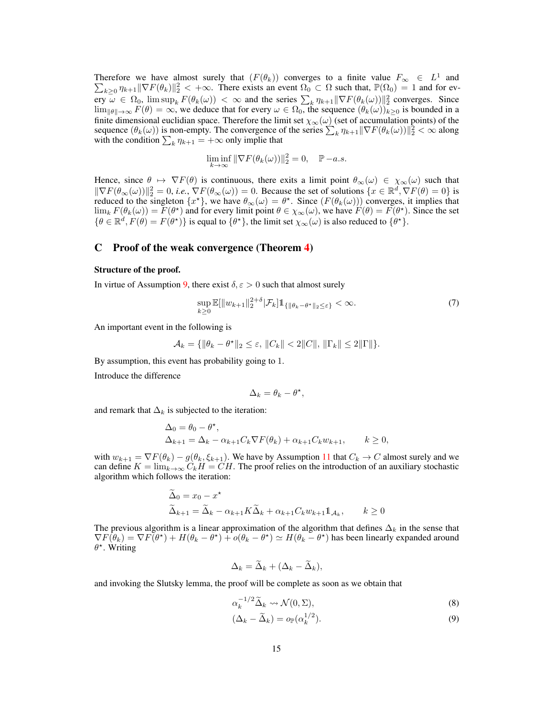Therefore we have almost surely that  $(F(\theta_k))$  converges to a finite value  $F_{\infty} \in L^1$  and  $\sum_{k\geq 0} \eta_{k+1} \|\nabla F(\theta_k)\|_2^2 < +\infty$ . There exists an event  $\Omega_0 \subset \Omega$  such that,  $\mathbb{P}(\Omega_0) = 1$  and for every  $\omega \in \Omega_0$ ,  $\limsup_k F(\theta_k(\omega)) < \infty$  and the series  $\sum_k \eta_{k+1} ||\nabla F(\theta_k(\omega))||_2^2$  converges. Since  $\lim_{\|\theta\|\to\infty} F(\theta) = \infty$ , we deduce that for every  $\omega \in \Omega_0$ , the sequence  $(\theta_k(\omega))_{k>0}$  is bounded in a finite dimensional euclidian space. Therefore the limit set  $\chi_{\infty}(\omega)$  (set of accumulation points) of the sequence  $(\theta_k(\omega))$  is non-empty. The convergence of the series  $\sum_k \eta_{k+1} ||\nabla F(\theta_k(\omega))||_2^2 < \infty$  along with the condition  $\sum_{k} \eta_{k+1} = +\infty$  only implie that

$$
\liminf_{k \to \infty} \|\nabla F(\theta_k(\omega))\|_2^2 = 0, \quad \mathbb{P}-a.s.
$$

Hence, since  $\theta \mapsto \nabla F(\theta)$  is continuous, there exits a limit point  $\theta_{\infty}(\omega) \in \chi_{\infty}(\omega)$  such that  $\|\nabla F(\theta_\infty(\omega))\|_2^2 = 0$ , *i.e.*,  $\nabla F(\theta_\infty(\omega)) = 0$ . Because the set of solutions  $\{x \in \mathbb{R}^d, \nabla F(\theta) = 0\}$  is reduced to the singleton  $\{x^*\}$ , we have  $\theta_\infty(\omega) = \theta^*$ . Since  $(F(\theta_k(\omega)))$  converges, it implies that  $\lim_k F(\theta_k(\omega)) = \overline{F}(\theta^*)$  and for every limit point  $\theta \in \chi_{\infty}(\omega)$ , we have  $\overline{F}(\theta) = \overline{F}(\theta^*)$ . Since the set  $\{\theta \in \mathbb{R}^d, F(\theta) = F(\theta^{\star})\}$  is equal to  $\{\theta^{\star}\},$  the limit set  $\chi_{\infty}(\omega)$  is also reduced to  $\{\theta^{\star}\}.$ 

## <span id="page-14-0"></span>C Proof of the weak convergence (Theorem [4\)](#page-7-0)

#### Structure of the proof.

In virtue of Assumption [9,](#page-5-1) there exist  $\delta, \varepsilon > 0$  such that almost surely

$$
\sup_{k\geq 0} \mathbb{E}[\|w_{k+1}\|_{2}^{2+\delta}|\mathcal{F}_{k}]\mathbb{1}_{\{\|\theta_{k}-\theta^{\star}\|_{2}\leq\varepsilon\}} < \infty.
$$
\n(7)

An important event in the following is

$$
\mathcal{A}_k = \{ \|\theta_k - \theta^*\|_2 \le \varepsilon, \|C_k\| < 2\|C\|, \|\Gamma_k\| \le 2\|\Gamma\|\}.
$$

By assumption, this event has probability going to 1.

Introduce the difference

<span id="page-14-3"></span>
$$
\Delta_k = \theta_k - \theta^\star,
$$

and remark that  $\Delta_k$  is subjected to the iteration:

$$
\Delta_0 = \theta_0 - \theta^*,
$$
  
\n
$$
\Delta_{k+1} = \Delta_k - \alpha_{k+1} C_k \nabla F(\theta_k) + \alpha_{k+1} C_k w_{k+1}, \qquad k \ge 0,
$$

with  $w_{k+1} = \nabla F(\theta_k) - g(\theta_k, \xi_{k+1})$ . We have by Assumption [11](#page-7-1) that  $C_k \to C$  almost surely and we can define  $K = \lim_{k \to \infty} C_k H = CH$ . The proof relies on the introduction of an auxiliary stochastic algorithm which follows the iteration:

$$
\widetilde{\Delta}_0 = x_0 - x^*
$$
  
\n
$$
\widetilde{\Delta}_{k+1} = \widetilde{\Delta}_k - \alpha_{k+1} K \widetilde{\Delta}_k + \alpha_{k+1} C_k w_{k+1} \mathbb{1}_{A_k}, \qquad k \ge 0
$$

The previous algorithm is a linear approximation of the algorithm that defines  $\Delta_k$  in the sense that  $\nabla F(\hat{\theta}_k) = \nabla F(\theta^*) + H(\theta_k - \theta^*) + o(\theta_k - \theta^*) \simeq H(\theta_k - \theta^*)$  has been linearly expanded around  $\theta^*$ . Writing

$$
\Delta_k = \widetilde{\Delta}_k + (\Delta_k - \widetilde{\Delta}_k),
$$

and invoking the Slutsky lemma, the proof will be complete as soon as we obtain that

<span id="page-14-2"></span><span id="page-14-1"></span>
$$
\alpha_k^{-1/2} \widetilde{\Delta}_k \leadsto \mathcal{N}(0, \Sigma),\tag{8}
$$

$$
(\Delta_k - \widetilde{\Delta}_k) = o_{\mathbb{P}}(\alpha_k^{1/2}).
$$
\n(9)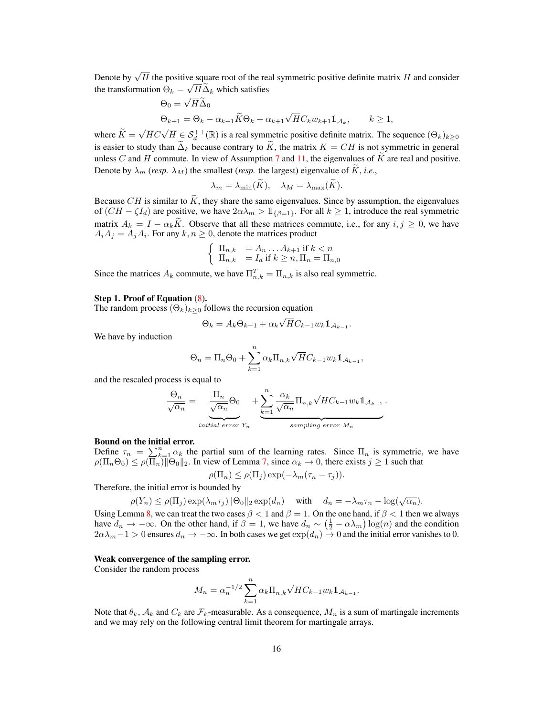Denote by  $\sqrt{H}$  the positive square root of the real symmetric positive definite matrix H and consider the transformation  $\Theta_k = \sqrt{H} \Delta_k$  which satisfies

$$
\Theta_0 = \sqrt{H\Delta_0}
$$
  
\n
$$
\Theta_{k+1} = \Theta_k - \alpha_{k+1} \widetilde{K} \Theta_k + \alpha_{k+1} \sqrt{H} C_k w_{k+1} \mathbb{1}_{\mathcal{A}_k}, \qquad k \ge 1,
$$

where  $K =$  $\sqrt{HC}\sqrt{H} \in \mathcal{S}_d^{++}(\mathbb{R})$  is a real symmetric positive definite matrix. The sequence  $(\Theta_k)_{k\geq 0}$ is easier to study than  $\Delta_k$  because contrary to  $\tilde{K}$ , the matrix  $K = CH$  is not symmetric in general unless C and H commute. In view of Assumption [7](#page-5-3) and [11,](#page-7-1) the eigenvalues of  $\tilde{K}$  are real and positive. Denote by  $\lambda_m$  (*resp.*  $\lambda_M$ ) the smallest (*resp.* the largest) eigenvalue of  $\tilde{K}$ , *i.e.*,

$$
\lambda_m = \lambda_{\min}(K), \quad \lambda_M = \lambda_{\max}(K).
$$

Because CH is similar to  $\widetilde{K}$ , they share the same eigenvalues. Since by assumption, the eigenvalues of  $(CH - \zeta I_d)$  are positive, we have  $2\alpha\lambda_m > 1_{\{\beta=1\}}$ . For all  $k \ge 1$ , introduce the real symmetric matrix  $A_k = I - \alpha_k \tilde{K}$ . Observe that all these matrices commute, i.e., for any  $i, j \ge 0$ , we have  $A_i A_j = A_j A_i$ . For any  $k, n \geq 0$ , denote the matrices product

$$
\begin{cases} \Pi_{n,k} = A_n \dots A_{k+1} \text{ if } k < n \\ \Pi_{n,k} = I_d \text{ if } k \ge n, \Pi_n = \Pi_{n,0} \end{cases}
$$

Since the matrices  $A_k$  commute, we have  $\Pi_{n,k}^T = \Pi_{n,k}$  is also real symmetric.

#### Step 1. Proof of Equation [\(8\)](#page-14-1).

The random process  $(\Theta_k)_{k \geq 0}$  follows the recursion equation

$$
\Theta_k = A_k \Theta_{k-1} + \alpha_k \sqrt{H} C_{k-1} w_k \mathbb{1}_{A_{k-1}}.
$$

We have by induction

$$
\Theta_n = \Pi_n \Theta_0 + \sum_{k=1}^n \alpha_k \Pi_{n,k} \sqrt{H} C_{k-1} w_k \mathbb{1}_{\mathcal{A}_{k-1}},
$$

and the rescaled process is equal to

$$
\frac{\Theta_n}{\sqrt{\alpha_n}} = \underbrace{\frac{\Pi_n}{\sqrt{\alpha_n}} \Theta_0}_{initial\ error\ Y_n} + \underbrace{\sum_{k=1}^n \frac{\alpha_k}{\sqrt{\alpha_n}} \Pi_{n,k} \sqrt{H} C_{k-1} w_k \mathbb{1}_{A_{k-1}}}_{sampling\ error\ M_n}.
$$

#### Bound on the initial error.

Define  $\tau_n = \sum_{k=1}^n \alpha_k$  the partial sum of the learning rates. Since  $\Pi_n$  is symmetric, we have  $\rho(\Pi_n\Theta_0) \leq \rho(\Pi_n) \|\Theta_0\|_2$ . In view of Lemma [7,](#page-26-0) since  $\alpha_k \to 0$ , there exists  $j \geq 1$  such that

$$
\rho(\Pi_n) \leq \rho(\Pi_j) \exp(-\lambda_m(\tau_n - \tau_j)).
$$

Therefore, the initial error is bounded by

$$
\rho(Y_n) \le \rho(\Pi_j) \exp(\lambda_m \tau_j) \|\Theta_0\|_2 \exp(d_n) \quad \text{with} \quad d_n = -\lambda_m \tau_n - \log(\sqrt{\alpha_n}).
$$

Using Lemma [8,](#page-27-0) we can treat the two cases  $\beta < 1$  and  $\beta = 1$ . On the one hand, if  $\beta < 1$  then we always have  $d_n \to -\infty$ . On the other hand, if  $\beta = 1$ , we have  $d_n \sim (\frac{1}{2} - \alpha \lambda_m) \log(n)$  and the condition  $2\alpha\lambda_m-1>0$  ensures  $d_n \to -\infty$ . In both cases we get  $\exp(d_n) \to 0$  and the initial error vanishes to 0.

#### Weak convergence of the sampling error.

Consider the random process

$$
M_n = \alpha_n^{-1/2} \sum_{k=1}^n \alpha_k \Pi_{n,k} \sqrt{H} C_{k-1} w_k \mathbb{1}_{A_{k-1}}.
$$

Note that  $\theta_k$ ,  $\mathcal{A}_k$  and  $C_k$  are  $\mathcal{F}_k$ -measurable. As a consequence,  $M_n$  is a sum of martingale increments and we may rely on the following central limit theorem for martingale arrays.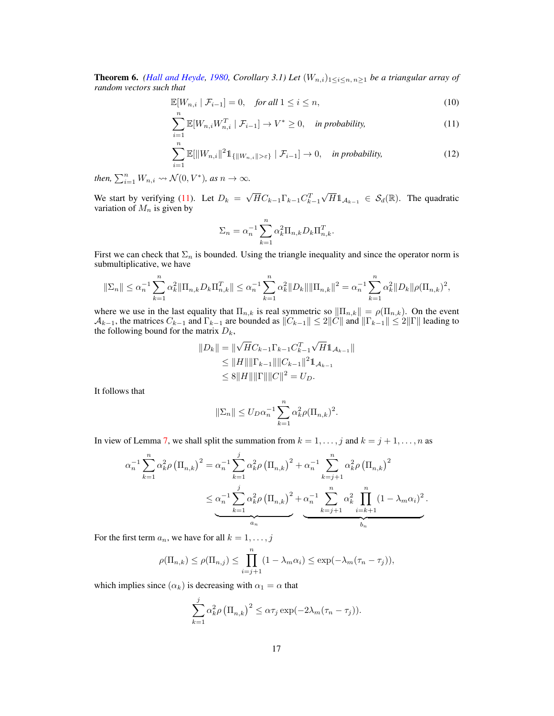**Theorem 6.** *[\(Hall and Heyde,](#page-29-12) [1980,](#page-29-12) Corollary 3.1) Let*  $(W_{n,i})_{1\leq i\leq n, n\geq 1}$  *be a triangular array of random vectors such that*

$$
\mathbb{E}[W_{n,i} \mid \mathcal{F}_{i-1}] = 0, \quad \text{for all } 1 \le i \le n,
$$
\n<sup>(10)</sup>

$$
\sum_{i=1}^{N} \mathbb{E}[W_{n,i}W_{n,i}^T \mid \mathcal{F}_{i-1}] \to V^* \ge 0, \quad \text{in probability,} \tag{11}
$$

$$
\sum_{i=1}^{n} \mathbb{E}[\|W_{n,i}\|^2 \mathbb{1}_{\{\|W_{n,i}\| > \varepsilon\}} \mid \mathcal{F}_{i-1}] \to 0, \quad \text{in probability,}
$$
 (12)

*then,*  $\sum_{i=1}^{n} W_{n,i} \rightsquigarrow \mathcal{N}(0, V^*)$ *, as*  $n \to \infty$ *.* 

We start by verifying [\(11\)](#page-16-0). Let  $D_k =$ √  $\overline{H}C_{k-1}\Gamma_{k-1}C_{k-1}^T$  $\sqrt{H} \mathbb{1}_{\mathcal{A}_{k-1}} \in \mathcal{S}_d(\mathbb{R})$ . The quadratic variation of  $M_n$  is given by

<span id="page-16-1"></span><span id="page-16-0"></span>
$$
\Sigma_n = \alpha_n^{-1} \sum_{k=1}^n \alpha_k^2 \Pi_{n,k} D_k \Pi_{n,k}^T.
$$

First we can check that  $\Sigma_n$  is bounded. Using the triangle inequality and since the operator norm is submultiplicative, we have

$$
\|\Sigma_n\| \leq \alpha_n^{-1} \sum_{k=1}^n \alpha_k^2 \|\Pi_{n,k} D_k \Pi_{n,k}^T\| \leq \alpha_n^{-1} \sum_{k=1}^n \alpha_k^2 \|D_k\| \|\Pi_{n,k}\|^2 = \alpha_n^{-1} \sum_{k=1}^n \alpha_k^2 \|D_k\| \rho (\Pi_{n,k})^2,
$$

where we use in the last equality that  $\Pi_{n,k}$  is real symmetric so  $\|\Pi_{n,k}\| = \rho(\Pi_{n,k})$ . On the event Ak−1, the matrices  $C_{k-1}$  and  $\Gamma_{k-1}$  are bounded as  $||C_{k-1}|| \le 2||\ddot{C}||$  and  $||\Gamma_{k-1}|| \le 2||\Gamma||$  leading to the following bound for the matrix  $D_k$ ,

$$
||D_k|| = ||\sqrt{H}C_{k-1}\Gamma_{k-1}C_{k-1}^T\sqrt{H}\mathbb{1}_{A_{k-1}}||
$$
  
\n
$$
\leq ||H|| ||\Gamma_{k-1}|| ||C_{k-1}||^2 \mathbb{1}_{A_{k-1}}
$$
  
\n
$$
\leq 8||H|| ||\Gamma|| ||C||^2 = U_D.
$$

It follows that

$$
\|\Sigma_n\| \le U_D \alpha_n^{-1} \sum_{k=1}^n \alpha_k^2 \rho(\Pi_{n,k})^2.
$$

In view of Lemma [7,](#page-26-0) we shall split the summation from  $k = 1, \ldots, j$  and  $k = j + 1, \ldots, n$  as

$$
\alpha_n^{-1} \sum_{k=1}^n \alpha_k^2 \rho \left(\Pi_{n,k}\right)^2 = \alpha_n^{-1} \sum_{k=1}^j \alpha_k^2 \rho \left(\Pi_{n,k}\right)^2 + \alpha_n^{-1} \sum_{k=j+1}^n \alpha_k^2 \rho \left(\Pi_{n,k}\right)^2
$$
  

$$
\leq \alpha_n^{-1} \sum_{k=1}^j \alpha_k^2 \rho \left(\Pi_{n,k}\right)^2 + \alpha_n^{-1} \sum_{k=j+1}^n \alpha_k^2 \prod_{i=k+1}^n (1 - \lambda_m \alpha_i)^2.
$$

For the first term  $a_n$ , we have for all  $k = 1, \ldots, j$ 

$$
\rho(\Pi_{n,k}) \le \rho(\Pi_{n,j}) \le \prod_{i=j+1}^n (1 - \lambda_m \alpha_i) \le \exp(-\lambda_m (\tau_n - \tau_j)),
$$

which implies since  $(\alpha_k)$  is decreasing with  $\alpha_1 = \alpha$  that

$$
\sum_{k=1}^{j} \alpha_k^2 \rho \left(\Pi_{n,k}\right)^2 \leq \alpha \tau_j \exp(-2\lambda_m(\tau_n - \tau_j)).
$$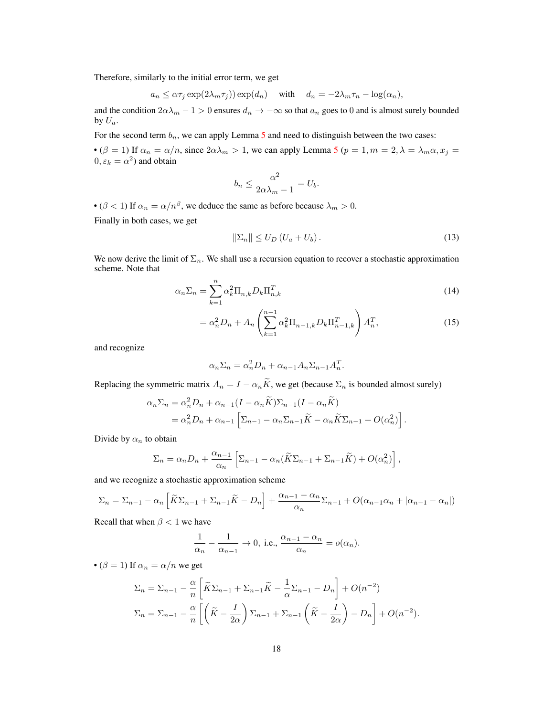Therefore, similarly to the initial error term, we get

$$
a_n \leq \alpha \tau_j \exp(2\lambda_m \tau_j)) \exp(d_n)
$$
 with  $d_n = -2\lambda_m \tau_n - \log(\alpha_n)$ ,

and the condition  $2\alpha\lambda_m - 1 > 0$  ensures  $d_n \to -\infty$  so that  $a_n$  goes to 0 and is almost surely bounded by  $U_a$ .

For the second term  $b_n$ , we can apply Lemma [5](#page-25-0) and need to distinguish between the two cases:

• ( $\beta = 1$ ) If  $\alpha_n = \alpha/n$ , since  $2\alpha\lambda_m > 1$ , we can apply Lemma [5](#page-25-0) ( $p = 1, m = 2, \lambda = \lambda_m \alpha, x_j =$  $0, \varepsilon_k = \alpha^2$ ) and obtain

$$
b_n \le \frac{\alpha^2}{2\alpha\lambda_m - 1} = U_b.
$$

• ( $\beta$  < 1) If  $\alpha_n = \alpha/n^{\beta}$ , we deduce the same as before because  $\lambda_m > 0$ .

Finally in both cases, we get

<span id="page-17-0"></span>
$$
\|\Sigma_n\| \le U_D \left(U_a + U_b\right). \tag{13}
$$

We now derive the limit of  $\Sigma_n$ . We shall use a recursion equation to recover a stochastic approximation scheme. Note that

$$
\alpha_n \Sigma_n = \sum_{k=1}^n \alpha_k^2 \Pi_{n,k} D_k \Pi_{n,k}^T
$$
\n(14)

$$
= \alpha_n^2 D_n + A_n \left( \sum_{k=1}^{n-1} \alpha_k^2 \Pi_{n-1,k} D_k \Pi_{n-1,k}^T \right) A_n^T,
$$
\n(15)

and recognize

$$
\alpha_n \Sigma_n = \alpha_n^2 D_n + \alpha_{n-1} A_n \Sigma_{n-1} A_n^T.
$$

Replacing the symmetric matrix  $A_n = I - \alpha_n \widetilde{K}$ , we get (because  $\Sigma_n$  is bounded almost surely)

$$
\alpha_n \Sigma_n = \alpha_n^2 D_n + \alpha_{n-1} (I - \alpha_n \widetilde{K}) \Sigma_{n-1} (I - \alpha_n \widetilde{K})
$$
  
=  $\alpha_n^2 D_n + \alpha_{n-1} \left[ \Sigma_{n-1} - \alpha_n \Sigma_{n-1} \widetilde{K} - \alpha_n \widetilde{K} \Sigma_{n-1} + O(\alpha_n^2) \right].$ 

Divide by  $\alpha_n$  to obtain

$$
\Sigma_n = \alpha_n D_n + \frac{\alpha_{n-1}}{\alpha_n} \left[ \Sigma_{n-1} - \alpha_n (\widetilde{K} \Sigma_{n-1} + \Sigma_{n-1} \widetilde{K}) + O(\alpha_n^2) \right],
$$

and we recognize a stochastic approximation scheme

$$
\Sigma_n = \Sigma_{n-1} - \alpha_n \left[ \widetilde{K} \Sigma_{n-1} + \Sigma_{n-1} \widetilde{K} - D_n \right] + \frac{\alpha_{n-1} - \alpha_n}{\alpha_n} \Sigma_{n-1} + O(\alpha_{n-1} \alpha_n + |\alpha_{n-1} - \alpha_n|)
$$

Recall that when  $\beta < 1$  we have

$$
\frac{1}{\alpha_n} - \frac{1}{\alpha_{n-1}} \to 0, \text{ i.e., } \frac{\alpha_{n-1} - \alpha_n}{\alpha_n} = o(\alpha_n).
$$

• ( $\beta = 1$ ) If  $\alpha_n = \alpha/n$  we get

$$
\Sigma_n = \Sigma_{n-1} - \frac{\alpha}{n} \left[ \widetilde{K} \Sigma_{n-1} + \Sigma_{n-1} \widetilde{K} - \frac{1}{\alpha} \Sigma_{n-1} - D_n \right] + O(n^{-2})
$$
  

$$
\Sigma_n = \Sigma_{n-1} - \frac{\alpha}{n} \left[ \left( \widetilde{K} - \frac{I}{2\alpha} \right) \Sigma_{n-1} + \Sigma_{n-1} \left( \widetilde{K} - \frac{I}{2\alpha} \right) - D_n \right] + O(n^{-2}).
$$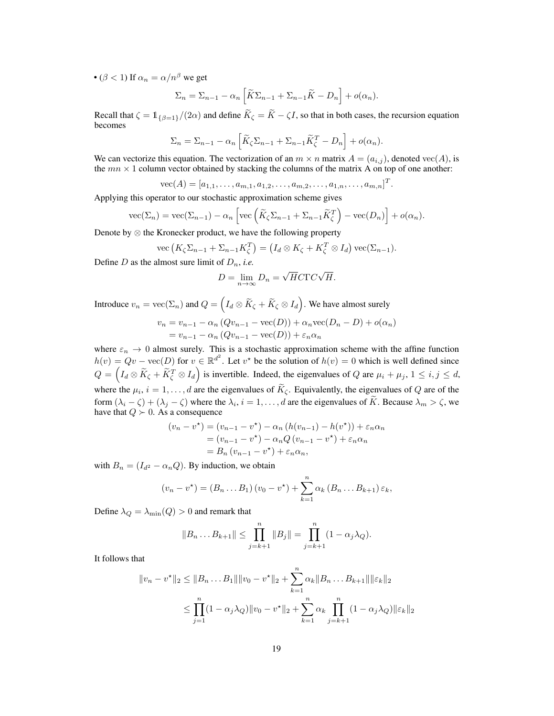• ( $\beta$  < 1) If  $\alpha_n = \alpha/n^{\beta}$  we get

$$
\Sigma_n = \Sigma_{n-1} - \alpha_n \left[ \widetilde{K} \Sigma_{n-1} + \Sigma_{n-1} \widetilde{K} - D_n \right] + o(\alpha_n).
$$

Recall that  $\zeta = \mathbb{1}_{\{\beta=1\}}/(2\alpha)$  and define  $\widetilde{K}_{\zeta} = \widetilde{K} - \zeta I$ , so that in both cases, the recursion equation becomes

$$
\Sigma_n = \Sigma_{n-1} - \alpha_n \left[ \widetilde{K}_{\zeta} \Sigma_{n-1} + \Sigma_{n-1} \widetilde{K}_{\zeta}^T - D_n \right] + o(\alpha_n).
$$

We can vectorize this equation. The vectorization of an  $m \times n$  matrix  $A = (a_{i,j})$ , denoted vec $(A)$ , is the  $mn \times 1$  column vector obtained by stacking the columns of the matrix A on top of one another:

$$
\text{vec}(A) = [a_{1,1}, \dots, a_{m,1}, a_{1,2}, \dots, a_{m,2}, \dots, a_{1,n}, \dots, a_{m,n}]^T.
$$

Applying this operator to our stochastic approximation scheme gives

$$
\operatorname{vec}(\Sigma_n) = \operatorname{vec}(\Sigma_{n-1}) - \alpha_n \left[ \operatorname{vec} \left( \widetilde{K}_{\zeta} \Sigma_{n-1} + \Sigma_{n-1} \widetilde{K}_{\zeta}^T \right) - \operatorname{vec}(D_n) \right] + o(\alpha_n).
$$

Denote by ⊗ the Kronecker product, we have the following property

$$
\operatorname{vec}\left(K_{\zeta}\Sigma_{n-1}+\Sigma_{n-1}K_{\zeta}^{T}\right)=\left(I_{d}\otimes K_{\zeta}+K_{\zeta}^{T}\otimes I_{d}\right)\operatorname{vec}(\Sigma_{n-1}).
$$

Define  $D$  as the almost sure limit of  $D_n$ , *i.e.* 

$$
D = \lim_{n \to \infty} D_n = \sqrt{H} C \Gamma C \sqrt{H}.
$$

Introduce  $v_n = \text{vec}(\Sigma_n)$  and  $Q = \left(I_d \otimes \widetilde{K}_\zeta + \widetilde{K}_\zeta \otimes I_d\right)$ . We have almost surely

$$
v_n = v_{n-1} - \alpha_n (Qv_{n-1} - \text{vec}(D)) + \alpha_n \text{vec}(D_n - D) + o(\alpha_n)
$$
  
=  $v_{n-1} - \alpha_n (Qv_{n-1} - \text{vec}(D)) + \varepsilon_n \alpha_n$ 

where  $\varepsilon_n \to 0$  almost surely. This is a stochastic approximation scheme with the affine function  $h(v) = Qv - \text{vec}(D)$  for  $v \in \mathbb{R}^{d^2}$ . Let  $v^*$  be the solution of  $h(v) = 0$  which is well defined since  $Q = (I_d \otimes \widetilde{K}_{\zeta} + \widetilde{K}_{\zeta}^T \otimes I_d)$  is invertible. Indeed, the eigenvalues of Q are  $\mu_i + \mu_j$ ,  $1 \le i, j \le d$ , where the  $\mu_i$ ,  $i = 1, ..., d$  are the eigenvalues of  $K_{\zeta}$ . Equivalently, the eigenvalues of Q are of the form  $(\lambda_i - \zeta) + (\lambda_j - \zeta)$  where the  $\lambda_i$ ,  $i = 1, \dots, d$  are the eigenvalues of K. Because  $\lambda_m > \zeta$ , we have that  $Q \succ 0$ . As a consequence

$$
(v_n - v^*) = (v_{n-1} - v^*) - \alpha_n (h(v_{n-1}) - h(v^*)) + \varepsilon_n \alpha_n
$$
  
=  $(v_{n-1} - v^*) - \alpha_n Q (v_{n-1} - v^*) + \varepsilon_n \alpha_n$   
=  $B_n (v_{n-1} - v^*) + \varepsilon_n \alpha_n$ ,

with  $B_n = (I_{d^2} - \alpha_n Q)$ . By induction, we obtain

$$
(v_n - v^*) = (B_n ... B_1) (v_0 - v^*) + \sum_{k=1}^n \alpha_k (B_n ... B_{k+1}) \varepsilon_k,
$$

Define  $\lambda_Q = \lambda_{\min}(Q) > 0$  and remark that

$$
||B_n \dots B_{k+1}|| \le \prod_{j=k+1}^n ||B_j|| = \prod_{j=k+1}^n (1 - \alpha_j \lambda_Q).
$$

It follows that

$$
||v_n - v^*||_2 \le ||B_n ... B_1|| ||v_0 - v^*||_2 + \sum_{k=1}^n \alpha_k ||B_n ... B_{k+1}|| ||\varepsilon_k||_2
$$
  

$$
\le \prod_{j=1}^n (1 - \alpha_j \lambda_Q) ||v_0 - v^*||_2 + \sum_{k=1}^n \alpha_k \prod_{j=k+1}^n (1 - \alpha_j \lambda_Q) ||\varepsilon_k||_2
$$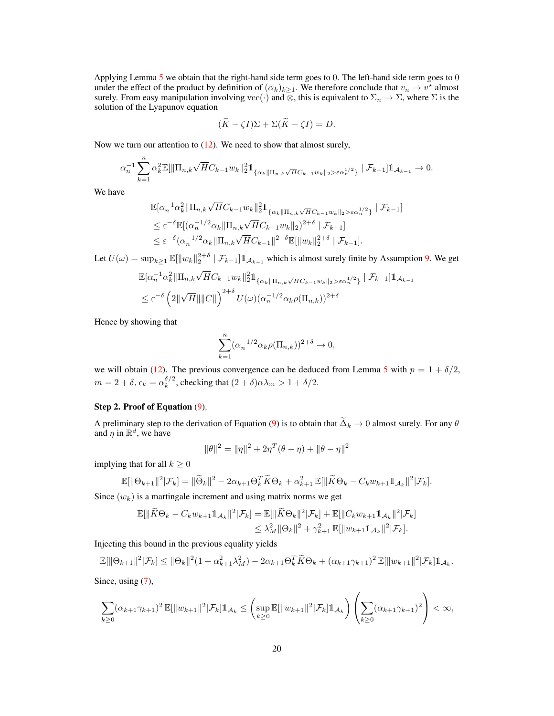Applying Lemma  $5$  we obtain that the right-hand side term goes to 0. The left-hand side term goes to 0 under the effect of the product by definition of  $(\alpha_k)_{k\geq 1}$ . We therefore conclude that  $v_n \to v^*$  almost surely. From easy manipulation involving vec(·) and ⊗, this is equivalent to  $\Sigma_n \to \Sigma$ , where  $\Sigma$  is the solution of the Lyapunov equation

$$
(\widetilde{K} - \zeta I)\Sigma + \Sigma(\widetilde{K} - \zeta I) = D.
$$

Now we turn our attention to  $(12)$ . We need to show that almost surely,

$$
\alpha_n^{-1} \sum_{k=1}^n \alpha_k^2 \mathbb{E}[\|\Pi_{n,k}\sqrt{H}C_{k-1}w_k\|_2^2 \mathbb{1}_{\{\alpha_k\|\Pi_{n,k}\sqrt{H}C_{k-1}w_k\|_2 > \varepsilon \alpha_n^{1/2}\}} \mid \mathcal{F}_{k-1}] \mathbb{1}_{\mathcal{A}_{k-1}} \to 0.
$$

We have

$$
\mathbb{E}[\alpha_n^{-1} \alpha_k^2 \|\Pi_{n,k}\sqrt{H}C_{k-1}w_k\|_2^2 \mathbb{1}_{\{\alpha_k \|\Pi_{n,k}\sqrt{H}C_{k-1}w_k\|_2 > \varepsilon \alpha_n^{1/2}\}} \mid \mathcal{F}_{k-1}]
$$
  
\n
$$
\leq \varepsilon^{-\delta} \mathbb{E}[(\alpha_n^{-1/2} \alpha_k \|\Pi_{n,k}\sqrt{H}C_{k-1}w_k\|_2)^{2+\delta} \mid \mathcal{F}_{k-1}]
$$
  
\n
$$
\leq \varepsilon^{-\delta} (\alpha_n^{-1/2} \alpha_k \|\Pi_{n,k}\sqrt{H}C_{k-1}\|^{2+\delta} \mathbb{E}[\|w_k\|_2^{2+\delta} \mid \mathcal{F}_{k-1}].
$$

Let  $U(\omega) = \sup_{k \ge 1} \mathbb{E}[\|w_k\|_2^{2+\delta} \mid \mathcal{F}_{k-1}] \mathbb{1}_{\mathcal{A}_{k-1}}$  which is almost surely finite by Assumption [9.](#page-5-1) We get

$$
\mathbb{E}[\alpha_n^{-1} \alpha_k^2 \|\Pi_{n,k}\sqrt{H}C_{k-1}w_k\|_2^2 \mathbb{1}_{\{\alpha_k \|\Pi_{n,k}\sqrt{H}C_{k-1}w_k\|_2 > \varepsilon \alpha_n^{1/2}\}} \mid \mathcal{F}_{k-1}] \mathbb{1}_{\mathcal{A}_{k-1}}
$$
\n
$$
\leq \varepsilon^{-\delta} \left( 2\|\sqrt{H}\| \|C\|\right)^{2+\delta} U(\omega) (\alpha_n^{-1/2} \alpha_k \rho(\Pi_{n,k}))^{2+\delta}
$$

Hence by showing that

$$
\sum_{k=1}^n (\alpha_n^{-1/2} \alpha_k \rho(\Pi_{n,k}))^{2+\delta} \to 0,
$$

we will obtain [\(12\)](#page-16-1). The previous convergence can be deduced from Lemma [5](#page-25-0) with  $p = 1 + \delta/2$ ,  $m=2+\delta,\epsilon_k=\alpha_k^{\delta/2}$  $\int_{k}^{\delta/2}$ , checking that  $(2+\delta)\alpha\lambda_m > 1 + \delta/2$ .

## Step 2. Proof of Equation [\(9\)](#page-14-2).

A preliminary step to the derivation of Equation [\(9\)](#page-14-2) is to obtain that  $\widetilde{\Delta}_k \to 0$  almost surely. For any  $\theta$ and  $\eta$  in  $\mathbb{R}^d$ , we have

$$
\|\boldsymbol{\theta}\|^2=\|\boldsymbol{\eta}\|^2+2\boldsymbol{\eta}^T(\boldsymbol{\theta}-\boldsymbol{\eta})+\|\boldsymbol{\theta}-\boldsymbol{\eta}\|^2
$$

implying that for all  $k \geq 0$ 

$$
\mathbb{E}[\|\Theta_{k+1}\|^2|\mathcal{F}_k] = \|\widetilde{\Theta}_k\|^2 - 2\alpha_{k+1}\Theta_k^T\widetilde{K}\Theta_k + \alpha_{k+1}^2\mathbb{E}[\|\widetilde{K}\Theta_k - C_k w_{k+1}\mathbb{1}_{\mathcal{A}_k}\|^2|\mathcal{F}_k].
$$

Since  $(w_k)$  is a martingale increment and using matrix norms we get

$$
\mathbb{E}[\|\widetilde{K}\Theta_{k} - C_{k}w_{k+1}\mathbb{1}_{\mathcal{A}_{k}}\|^{2}|\mathcal{F}_{k}] = \mathbb{E}[\|\widetilde{K}\Theta_{k}\|^{2}|\mathcal{F}_{k}] + \mathbb{E}[\|C_{k}w_{k+1}\mathbb{1}_{\mathcal{A}_{k}}\|^{2}|\mathcal{F}_{k}] \leq \lambda_{M}^{2}\|\Theta_{k}\|^{2} + \gamma_{k+1}^{2}\mathbb{E}[\|w_{k+1}\mathbb{1}_{\mathcal{A}_{k}}\|^{2}|\mathcal{F}_{k}].
$$

Injecting this bound in the previous equality yields

$$
\mathbb{E}[\|\Theta_{k+1}\|^2|\mathcal{F}_k] \le \|\Theta_k\|^2 (1+\alpha_{k+1}^2\lambda_M^2) - 2\alpha_{k+1}\Theta_k^T\widetilde{K}\Theta_k + (\alpha_{k+1}\gamma_{k+1})^2 \mathbb{E}[\|w_{k+1}\|^2|\mathcal{F}_k]\mathbb{1}_{\mathcal{A}_k}.
$$

Since, using  $(7)$ ,

$$
\sum_{k\geq 0} (\alpha_{k+1}\gamma_{k+1})^2 \mathbb{E}[\|w_{k+1}\|^2 | \mathcal{F}_k] \mathbb{1}_{\mathcal{A}_k} \leq \left(\sup_{k\geq 0} \mathbb{E}[\|w_{k+1}\|^2 | \mathcal{F}_k] \mathbb{1}_{\mathcal{A}_k}\right) \left(\sum_{k\geq 0} (\alpha_{k+1}\gamma_{k+1})^2\right) < \infty,
$$

 $\bar{X}$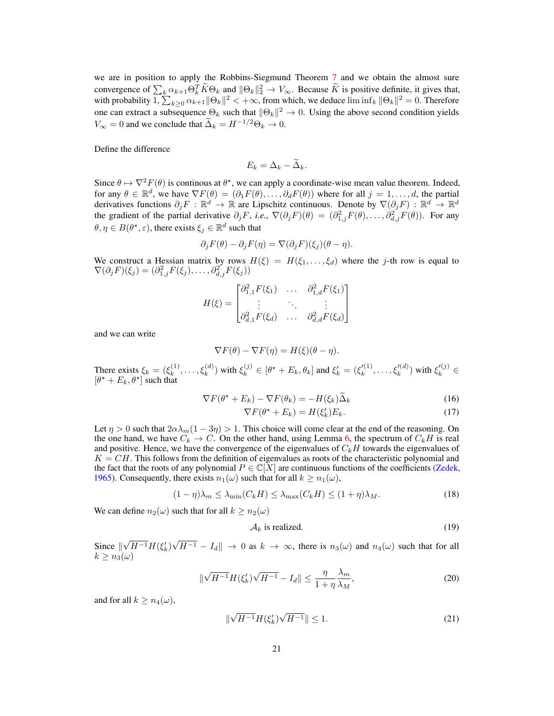we are in position to apply the Robbins-Siegmund Theorem [7](#page-24-1) and we obtain the almost sure convergence of  $\sum_{k} \alpha_{k+1} \Theta_k^T \tilde{K} \Theta_k$  and  $\|\Theta_k\|_2^2 \to V_\infty$ . Because  $\tilde{K}$  is positive definite, it gives that, with probability  $1, \sum_{k\geq 0} \alpha_{k+1} \|\Theta_k\|^2 < +\infty$ , from which, we deduce  $\liminf_k \|\Theta_k\|^2 = 0$ . Therefo one can extract a subsequence  $\Theta_k$  such that  $\|\Theta_k\|^2 \to 0$ . Using the above second condition yields  $V_{\infty} = 0$  and we conclude that  $\widetilde{\Delta}_k = H^{-1/2}\Theta_k \to 0$ .

Define the difference

$$
E_k = \Delta_k - \widetilde{\Delta}_k.
$$

Since  $\theta \mapsto \nabla^2 F(\theta)$  is continous at  $\theta^*$ , we can apply a coordinate-wise mean value theorem. Indeed, for any  $\theta \in \mathbb{R}^d$ , we have  $\nabla F(\theta) = (\partial_1 F(\theta), \dots, \partial_d F(\theta))$  where for all  $j = 1, \dots, d$ , the partial derivatives functions  $\partial_j F : \mathbb{R}^d \to \mathbb{R}$  are Lipschitz continuous. Denote by  $\nabla(\partial_j F) : \mathbb{R}^d \to \mathbb{R}^d$ the gradient of the partial derivative  $\partial_j F$ , *i.e.*,  $\nabla(\partial_j F)(\theta) = (\partial_{1,j}^2 F(\theta), \dots, \partial_{d,j}^2 F(\theta))$ . For any  $\theta, \eta \in B(\theta^*, \varepsilon)$ , there exists  $\xi_j \in \mathbb{R}^d$  such that

$$
\partial_j F(\theta) - \partial_j F(\eta) = \nabla(\partial_j F)(\xi_j)(\theta - \eta).
$$

We construct a Hessian matrix by rows  $H(\xi) = H(\xi_1, \ldots, \xi_d)$  where the j-th row is equal to  $\nabla(\partial_j F)(\xi_j) = (\partial_{1,j}^2 F(\xi_j), \dots, \partial_{d,j}^2 F(\xi_j))$ 

$$
H(\xi) = \begin{bmatrix} \partial_{1,1}^2 F(\xi_1) & \dots & \partial_{1,d}^2 F(\xi_1) \\ \vdots & \ddots & \vdots \\ \partial_{d,1}^2 F(\xi_d) & \dots & \partial_{d,d}^2 F(\xi_d) \end{bmatrix}
$$

and we can write

$$
\nabla F(\theta) - \nabla F(\eta) = H(\xi)(\theta - \eta).
$$

There exists  $\xi_k = (\xi_k^{(1)})$  $(k_k^{(1)}, \ldots, \xi_k^{(d)})$  with  $\xi_k^{(j)} \in [\theta^* + E_k, \theta_k]$  and  $\xi_k' = (\xi_k'^{(1)})$  $\zeta_k^{(1)}, \ldots, \zeta_k^{(d)}$  with  $\zeta_k'^{(j)} \in$  $[\theta^{\star} + E_k, \theta^{\star}]$  such that

$$
\nabla F(\theta^* + E_k) - \nabla F(\theta_k) = -H(\xi_k)\widetilde{\Delta}_k
$$
\n(16)

<span id="page-20-2"></span><span id="page-20-1"></span>
$$
\nabla F(\theta^* + E_k) = H(\xi'_k) E_k.
$$
\n(17)

Let  $\eta > 0$  such that  $2\alpha\lambda_m(1-3\eta) > 1$ . This choice will come clear at the end of the reasoning. On the one hand, we have  $C_k \to C$ . On the other hand, using Lemma [6,](#page-26-1) the spectrum of  $C_k H$  is real and positive. Hence, we have the convergence of the eigenvalues of  $C_kH$  towards the eigenvalues of  $K = CH$ . This follows from the definition of eigenvalues as roots of the characteristic polynomial and the fact that the roots of any polynomial  $P \in \mathbb{C}[X]$  are continuous functions of the coefficients [\(Zedek,](#page-31-3) [1965\)](#page-31-3). Consequently, there exists  $n_1(\omega)$  such that for all  $k \geq n_1(\omega)$ ,

$$
(1 - \eta)\lambda_m \le \lambda_{\min}(C_k H) \le \lambda_{\max}(C_k H) \le (1 + \eta)\lambda_M. \tag{18}
$$

We can define  $n_2(\omega)$  such that for all  $k \geq n_2(\omega)$ 

<span id="page-20-5"></span><span id="page-20-4"></span><span id="page-20-3"></span><span id="page-20-0"></span>
$$
\mathcal{A}_k \text{ is realized.} \tag{19}
$$

Since  $\parallel$ √  $\overline{H^{-1}}H(\xi_k')$ √  $|H^{-1} - I_d|| \to 0$  as  $k \to \infty$ , there is  $n_3(\omega)$  and  $n_4(\omega)$  such that for all  $k \geq n_3(\omega)$ 

$$
\|\sqrt{H^{-1}}H(\xi_k')\sqrt{H^{-1}} - I_d\| \le \frac{\eta}{1+\eta}\frac{\lambda_m}{\lambda_M},\tag{20}
$$

and for all  $k \geq n_4(\omega)$ ,

$$
\|\sqrt{H^{-1}}H(\xi_k')\sqrt{H^{-1}}\| \le 1.
$$
\n(21)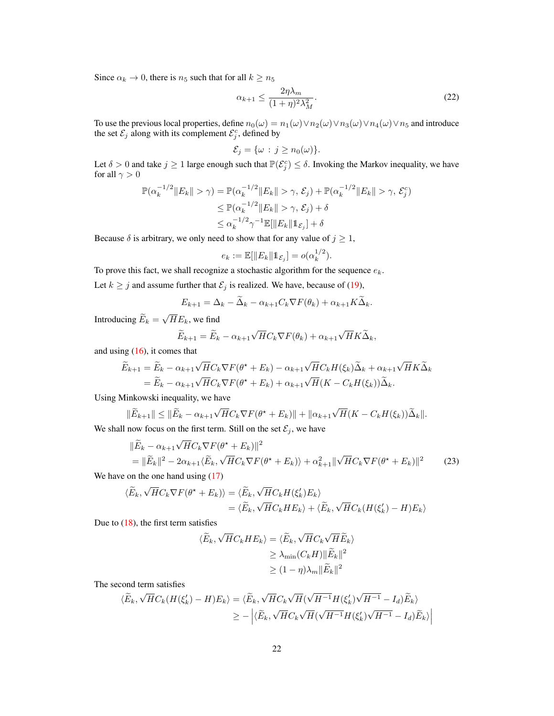Since  $\alpha_k \to 0$ , there is  $n_5$  such that for all  $k \geq n_5$ 

<span id="page-21-1"></span>
$$
\alpha_{k+1} \le \frac{2\eta\lambda_m}{(1+\eta)^2\lambda_M^2}.\tag{22}
$$

To use the previous local properties, define  $n_0(\omega) = n_1(\omega) \vee n_2(\omega) \vee n_3(\omega) \vee n_4(\omega) \vee n_5$  and introduce the set  $\mathcal{E}_j$  along with its complement  $\mathcal{E}_j^c$ , defined by

$$
\mathcal{E}_j = \{\omega : j \ge n_0(\omega)\}.
$$

Let  $\delta > 0$  and take  $j \ge 1$  large enough such that  $\mathbb{P}(\mathcal{E}_j^c) \le \delta$ . Invoking the Markov inequality, we have for all  $\gamma > 0$ 

$$
\mathbb{P}(\alpha_k^{-1/2} \|E_k\| > \gamma) = \mathbb{P}(\alpha_k^{-1/2} \|E_k\| > \gamma, \mathcal{E}_j) + \mathbb{P}(\alpha_k^{-1/2} \|E_k\| > \gamma, \mathcal{E}_j^c)
$$
  
\n
$$
\leq \mathbb{P}(\alpha_k^{-1/2} \|E_k\| > \gamma, \mathcal{E}_j) + \delta
$$
  
\n
$$
\leq \alpha_k^{-1/2} \gamma^{-1} \mathbb{E}[\|E_k\| \mathbf{1}_{\mathcal{E}_j}] + \delta
$$

Because  $\delta$  is arbitrary, we only need to show that for any value of  $j \geq 1$ ,

$$
e_k := \mathbb{E}[\|E_k\| \mathbb{1}_{\mathcal{E}_j}] = o(\alpha_k^{1/2}).
$$

To prove this fact, we shall recognize a stochastic algorithm for the sequence  $e_k$ .

Let  $k \geq j$  and assume further that  $\mathcal{E}_j$  is realized. We have, because of [\(19\)](#page-20-0),

$$
E_{k+1} = \Delta_k - \widetilde{\Delta}_k - \alpha_{k+1} C_k \nabla F(\theta_k) + \alpha_{k+1} K \widetilde{\Delta}_k.
$$

Introducing  $E_k =$ √  $HE_k$ , we find

$$
\widetilde{E}_{k+1} = \widetilde{E}_k - \alpha_{k+1} \sqrt{H} C_k \nabla F(\theta_k) + \alpha_{k+1} \sqrt{H} K \widetilde{\Delta}_k,
$$

and using [\(16\)](#page-20-1), it comes that

$$
\widetilde{E}_{k+1} = \widetilde{E}_k - \alpha_{k+1} \sqrt{H} C_k \nabla F(\theta^* + E_k) - \alpha_{k+1} \sqrt{H} C_k H(\xi_k) \widetilde{\Delta}_k + \alpha_{k+1} \sqrt{H} K \widetilde{\Delta}_k \n= \widetilde{E}_k - \alpha_{k+1} \sqrt{H} C_k \nabla F(\theta^* + E_k) + \alpha_{k+1} \sqrt{H} (K - C_k H(\xi_k)) \widetilde{\Delta}_k.
$$

Using Minkowski inequality, we have

$$
\|\widetilde{E}_{k+1}\| \le \|\widetilde{E}_k - \alpha_{k+1}\sqrt{H}C_k \nabla F(\theta^* + E_k)\| + \|\alpha_{k+1}\sqrt{H}(K - C_k H(\xi_k))\widetilde{\Delta}_k\|.
$$

We shall now focus on the first term. Still on the set  $\mathcal{E}_j$ , we have

√

$$
\|\widetilde{E}_k - \alpha_{k+1}\sqrt{H}C_k \nabla F(\theta^* + E_k)\|^2
$$
  
= 
$$
\|\widetilde{E}_k\|^2 - 2\alpha_{k+1}\langle \widetilde{E}_k, \sqrt{H}C_k \nabla F(\theta^* + E_k)\rangle + \alpha_{k+1}^2 \|\sqrt{H}C_k \nabla F(\theta^* + E_k)\|^2
$$
 (23)

We have on the one hand using  $(17)$ 

$$
\langle \widetilde{E}_k, \sqrt{H} C_k \nabla F(\theta^* + E_k) \rangle = \langle \widetilde{E}_k, \sqrt{H} C_k H(\xi'_k) E_k \rangle
$$
  
=  $\langle \widetilde{E}_k, \sqrt{H} C_k H E_k \rangle + \langle \widetilde{E}_k, \sqrt{H} C_k (H(\xi'_k) - H) E_k \rangle$ 

Due to  $(18)$ , the first term satisfies

<span id="page-21-0"></span>
$$
\langle \widetilde{E}_k, \sqrt{H}C_k H E_k \rangle = \langle \widetilde{E}_k, \sqrt{H}C_k \sqrt{H} \widetilde{E}_k \rangle
$$
  
\n
$$
\geq \lambda_{\min}(C_k H) \|\widetilde{E}_k\|^2
$$
  
\n
$$
\geq (1 - \eta)\lambda_m \|\widetilde{E}_k\|^2
$$

The second term satisfies

$$
\langle \widetilde{E}_k, \sqrt{H} C_k (H(\xi'_k) - H) E_k \rangle = \langle \widetilde{E}_k, \sqrt{H} C_k \sqrt{H} (\sqrt{H^{-1}} H(\xi'_k) \sqrt{H^{-1}} - I_d) \widetilde{E}_k \rangle
$$
  
 
$$
\geq - \left| \langle \widetilde{E}_k, \sqrt{H} C_k \sqrt{H} (\sqrt{H^{-1}} H(\xi'_k) \sqrt{H^{-1}} - I_d) \widetilde{E}_k \rangle \right|
$$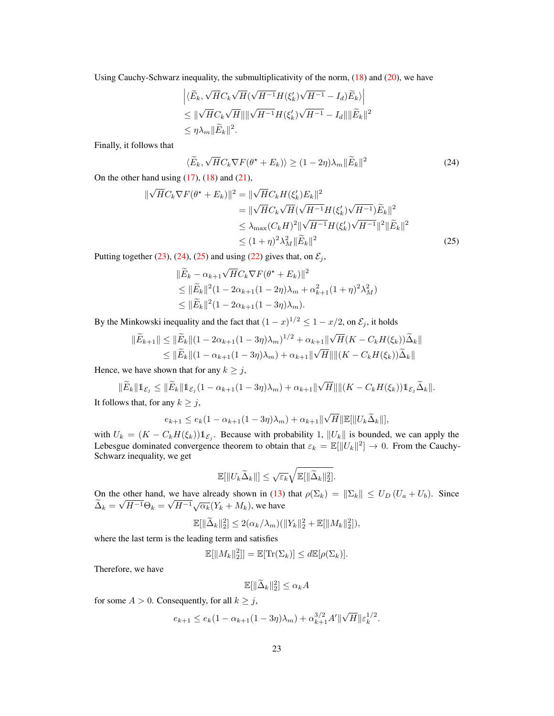Using Cauchy-Schwarz inequality, the submultiplicativity of the norm,  $(18)$  and  $(20)$ , we have

$$
\left| \langle \widetilde{E}_k, \sqrt{H} C_k \sqrt{H} (\sqrt{H^{-1}} H(\xi'_k) \sqrt{H^{-1}} - I_d) \widetilde{E}_k \rangle \right|
$$
  
\n
$$
\leq \| \sqrt{H} C_k \sqrt{H} \| \sqrt{H^{-1}} H(\xi'_k) \sqrt{H^{-1}} - I_d \| \| \widetilde{E}_k \|^2
$$
  
\n
$$
\leq \eta \lambda_m \| \widetilde{E}_k \|^2.
$$

Finally, it follows that

<span id="page-22-1"></span><span id="page-22-0"></span>
$$
\langle \widetilde{E}_k, \sqrt{H} C_k \nabla F(\theta^* + E_k) \rangle \ge (1 - 2\eta) \lambda_m \| \widetilde{E}_k \|^2
$$
\n(24)

On the other hand using  $(17)$ ,  $(18)$  and  $(21)$ ,

$$
\|\sqrt{H}C_k \nabla F(\theta^* + E_k)\|^2 = \|\sqrt{H}C_k H(\xi'_k) E_k\|^2
$$
  
\n
$$
= \|\sqrt{H}C_k \sqrt{H}(\sqrt{H^{-1}} H(\xi'_k) \sqrt{H^{-1}}) \widetilde{E}_k\|^2
$$
  
\n
$$
\leq \lambda_{\max}(C_k H)^2 \|\sqrt{H^{-1}} H(\xi'_k) \sqrt{H^{-1}}\|^2 \|\widetilde{E}_k\|^2
$$
  
\n
$$
\leq (1 + \eta)^2 \lambda_M^2 \|\widetilde{E}_k\|^2
$$
\n(25)

Putting together [\(23\)](#page-21-0), [\(24\)](#page-22-0), [\(25\)](#page-22-1) and using [\(22\)](#page-21-1) gives that, on  $\mathcal{E}_j$ ,

$$
\|\widetilde{E}_k - \alpha_{k+1}\sqrt{H}C_k \nabla F(\theta^* + E_k)\|^2
$$
  
\n
$$
\leq \|\widetilde{E}_k\|^2 (1 - 2\alpha_{k+1}(1 - 2\eta)\lambda_m + \alpha_{k+1}^2(1 + \eta)^2 \lambda_M^2)
$$
  
\n
$$
\leq \|\widetilde{E}_k\|^2 (1 - 2\alpha_{k+1}(1 - 3\eta)\lambda_m).
$$

By the Minkowski inequality and the fact that  $(1-x)^{1/2} \leq 1-x/2$ , on  $\mathcal{E}_j$ , it holds

$$
\|\widetilde{E}_{k+1}\| \le \|\widetilde{E}_k\|(1 - 2\alpha_{k+1}(1 - 3\eta)\lambda_m)^{1/2} + \alpha_{k+1}\|\sqrt{H}(K - C_kH(\xi_k))\widetilde{\Delta}_k\|
$$
  

$$
\le \|\widetilde{E}_k\|(1 - \alpha_{k+1}(1 - 3\eta)\lambda_m) + \alpha_{k+1}\|\sqrt{H}\|\|(K - C_kH(\xi_k))\widetilde{\Delta}_k\|
$$

Hence, we have shown that for any  $k \geq j$ ,

$$
\|\widetilde{E}_k\|1_{\mathcal{E}_j} \le \|\widetilde{E}_k\|1_{\mathcal{E}_j}(1-\alpha_{k+1}(1-3\eta)\lambda_m) + \alpha_{k+1}\|\sqrt{H}\| \|(K-C_kH(\xi_k))1_{\mathcal{E}_j}\widetilde{\Delta}_k\|.
$$

It follows that, for any  $k \geq j$ ,

$$
e_{k+1} \leq e_k(1-\alpha_{k+1}(1-3\eta)\lambda_m) + \alpha_{k+1} \|\sqrt{H}\|\mathbb{E}[\|U_k\widetilde{\Delta}_k\|],
$$

with  $U_k = (K - C_k H(\xi_k)) \mathbb{1}_{\mathcal{E}_j}$ . Because with probability 1,  $||U_k||$  is bounded, we can apply the Lebesgue dominated convergence theorem to obtain that  $\varepsilon_k = \mathbb{E}[||U_k||^2] \to 0$ . From the Cauchy-Schwarz inequality, we get

$$
\mathbb{E}[\|U_k\widetilde{\Delta}_k\|] \leq \sqrt{\varepsilon_k}\sqrt{\mathbb{E}[\|\widetilde{\Delta}_k\|_2^2]}.
$$

On the other hand, we have already shown in [\(13\)](#page-17-0) that  $\rho(\Sigma_k) = ||\Sigma_k|| \le U_D (U_a + U_b)$ . Since  $\Delta_k =$ √  $H^{-1}\Theta_k =$ we have already shown in (13)<br> $\sqrt{H^{-1}}\sqrt{\alpha_k}(Y_k + M_k)$ , we have

$$
\mathbb{E}[\|\widetilde{\Delta}_k\|_2^2] \le 2(\alpha_k/\lambda_m)(\|Y_k\|_2^2 + \mathbb{E}[\|M_k\|_2^2]),
$$

where the last term is the leading term and satisfies

$$
\mathbb{E}[\|M_k\|_2^2] = \mathbb{E}[\text{Tr}(\Sigma_k)] \le d\mathbb{E}[\rho(\Sigma_k)].
$$

Therefore, we have

$$
\mathbb{E}[\|\widetilde{\Delta}_k\|_2^2] \le \alpha_k A
$$

for some  $A > 0$ . Consequently, for all  $k \geq j$ ,

$$
e_{k+1} \le e_k(1 - \alpha_{k+1}(1 - 3\eta)\lambda_m) + \alpha_{k+1}^{3/2}A' \|\sqrt{H}\| \varepsilon_k^{1/2}.
$$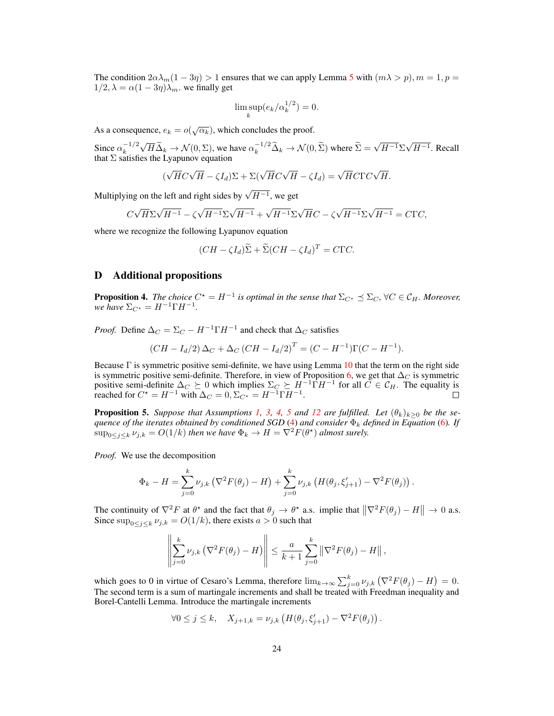The condition  $2\alpha\lambda_m(1-3\eta) > 1$  ensures that we can apply Lemma [5](#page-25-0) with  $(m\lambda > p)$ ,  $m = 1, p =$  $1/2$ ,  $\lambda = \alpha(1 - 3\eta)\lambda_m$ , we finally get

$$
\limsup_{k} (e_k/\alpha_k^{1/2}) = 0.
$$

As a consequence,  $e_k = o(\sqrt{\alpha_k})$ , which concludes the proof.

Since  $\alpha_k^{-1/2}$ k √  $\overline{H}\widetilde{\Delta}_k \to \mathcal{N}(0,\Sigma)$ , we have  $\alpha_k^{-1/2}\widetilde{\Delta}_k \to \mathcal{N}(0,\widetilde{\Sigma})$  where  $\widetilde{\Sigma} =$ √  $H^{-1}\Sigma$ √  $H^{-1}$ . Recall that  $\Sigma$  satisfies the Lyapunov equation

$$
(\sqrt{H}C\sqrt{H} - \zeta I_d)\Sigma + \Sigma(\sqrt{H}C\sqrt{H} - \zeta I_d) = \sqrt{H}C\Gamma C\sqrt{H}.
$$

Multiplying on the left and right sides by  $\sqrt{H^{-1}}$ , we get

$$
C\sqrt{H}\Sigma\sqrt{H^{-1}} - \zeta\sqrt{H^{-1}}\Sigma\sqrt{H^{-1}} + \sqrt{H^{-1}}\Sigma\sqrt{H}C - \zeta\sqrt{H^{-1}}\Sigma\sqrt{H^{-1}} = C\Gamma C,
$$

where we recognize the following Lyapunov equation

$$
(CH - \zeta I_d) \widetilde{\Sigma} + \widetilde{\Sigma} (CH - \zeta I_d)^T = C\Gamma C.
$$

## <span id="page-23-0"></span>D Additional propositions

**Proposition 4.** The choice  $C^* = H^{-1}$  is optimal in the sense that  $\Sigma_{C^*} \preceq \Sigma_C$ ,  $\forall C \in \mathcal{C}_H$ . Moreover, *we have*  $\Sigma_{C^*} = H^{-1} \Gamma H^{-1}$ .

*Proof.* Define  $\Delta_C = \Sigma_C - H^{-1} \Gamma H^{-1}$  and check that  $\Delta_C$  satisfies

$$
(CH - Id/2) \Delta_C + \Delta_C (CH - Id/2)T = (C - H-1)\Gamma(C - H-1).
$$

Because Γ is symmetric positive semi-definite, we have using Lemma [10](#page-27-1) that the term on the right side is symmetric positive semi-definite. Therefore, in view of Proposition [6,](#page-27-2) we get that  $\Delta_C$  is symmetric positive semi-definite  $\Delta_C \succeq 0$  which implies  $\Sigma_C \succeq H^{-1} \hat{\Gamma} H^{-1}$  for all  $\tilde{C} \in \mathcal{C}_H$ . The equality is reached for  $C^* = H^{-1}$  with  $\Delta_C = 0$ ,  $\Sigma_{C^*} = H^{-1}\Gamma H^{-1}$ .

**Proposition [5](#page-4-1).** Suppose that Assumptions [1,](#page-2-1) [3,](#page-3-1) [4,](#page-4-0) 5 and [12](#page-7-2) are fulfilled. Let  $(\theta_k)_{k>0}$  be the se*quence of the iterates obtained by conditioned SGD* [\(4\)](#page-6-3) *and consider*  $\Phi_k$  *defined in Equation* [\(6\)](#page-8-1)*. If*  $\sup_{0 \le j \le k} \nu_{j,k} = O(1/k)$  then we have  $\Phi_k \to H = \nabla^2 F(\theta^*)$  almost surely.

*Proof.* We use the decomposition

$$
\Phi_k - H = \sum_{j=0}^k \nu_{j,k} \left( \nabla^2 F(\theta_j) - H \right) + \sum_{j=0}^k \nu_{j,k} \left( H(\theta_j, \xi'_{j+1}) - \nabla^2 F(\theta_j) \right).
$$

The continuity of  $\nabla^2 F$  at  $\theta^*$  and the fact that  $\theta_j \to \theta^*$  a.s. implie that  $\|\nabla^2 F(\theta_j) - H\| \to 0$  a.s. Since  $\sup_{0 \le j \le k} \nu_{j,k} = O(1/k)$ , there exists  $a > 0$  such that

$$
\left\|\sum_{j=0}^k \nu_{j,k} \left(\nabla^2 F(\theta_j) - H\right)\right\| \leq \frac{a}{k+1} \sum_{j=0}^k \left\|\nabla^2 F(\theta_j) - H\right\|,
$$

which goes to 0 in virtue of Cesaro's Lemma, therefore  $\lim_{k\to\infty}\sum_{j=0}^k \nu_{j,k} (\nabla^2 F(\theta_j) - H) = 0$ . The second term is a sum of martingale increments and shall be treated with Freedman inequality and Borel-Cantelli Lemma. Introduce the martingale increments

$$
\forall 0 \leq j \leq k, \quad X_{j+1,k} = \nu_{j,k} \left( H(\theta_j, \xi'_{j+1}) - \nabla^2 F(\theta_j) \right).
$$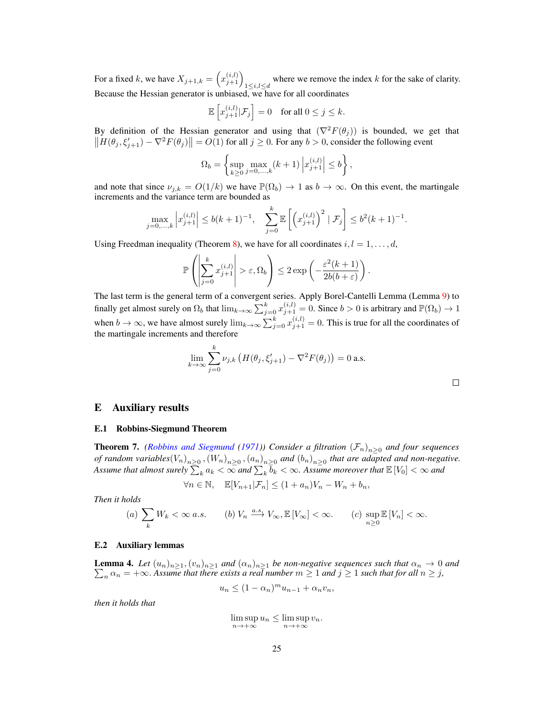For a fixed k, we have  $X_{j+1,k} = (x_{j+1}^{(i,l)})_{1 \le i,l \le d}$  where we remove the index k for the sake of clarity. Because the Hessian generator is unbiased, we have for all coordinates

$$
\mathbb{E}\left[x_{j+1}^{(i,l)}|\mathcal{F}_j\right] = 0 \quad \text{for all } 0 \le j \le k.
$$

By definition of the Hessian generator and using that  $(\nabla^2 F(\theta_i))$  is bounded, we get that  $||H(\theta_j, \xi_{j+1}') - \nabla^2 F(\theta_j)|| = O(1)$  for all  $j \ge 0$ . For any  $b > 0$ , consider the following event

$$
\Omega_b = \left\{ \sup_{k \ge 0} \max_{j=0,\dots,k} (k+1) \left| x_{j+1}^{(i,l)} \right| \le b \right\},\
$$

and note that since  $\nu_{j,k} = O(1/k)$  we have  $\mathbb{P}(\Omega_b) \to 1$  as  $b \to \infty$ . On this event, the martingale increments and the variance term are bounded as

$$
\max_{j=0,\dots,k} \left| x_{j+1}^{(i,l)} \right| \le b(k+1)^{-1}, \quad \sum_{j=0}^k \mathbb{E} \left[ \left( x_{j+1}^{(i,l)} \right)^2 \mid \mathcal{F}_j \right] \le b^2(k+1)^{-1}.
$$

Using Freedman inequality (Theorem [8\)](#page-27-3), we have for all coordinates  $i, l = 1, \ldots, d$ ,

$$
\mathbb{P}\left(\left|\sum_{j=0}^k x_{j+1}^{(i,l)}\right| > \varepsilon, \Omega_b\right) \leq 2 \exp\left(-\frac{\varepsilon^2 (k+1)}{2b(b+\varepsilon)}\right).
$$

The last term is the general term of a convergent series. Apply Borel-Cantelli Lemma (Lemma [9\)](#page-27-4) to finally get almost surely on  $\Omega_b$  that  $\lim_{k\to\infty}\sum_{j=0}^k x_{j+1}^{(i,l)} = 0$ . Since  $b > 0$  is arbitrary and  $\mathbb{P}(\Omega_b) \to 1$ when  $b \to \infty$ , we have almost surely  $\lim_{k \to \infty} \sum_{j=0}^{k} x_{j+1}^{(i,l)} = 0$ . This is true for all the coordinates of the martingale increments and therefore

$$
\lim_{k \to \infty} \sum_{j=0}^{k} \nu_{j,k} \left( H(\theta_j, \xi'_{j+1}) - \nabla^2 F(\theta_j) \right) = 0 \text{ a.s.}
$$

## <span id="page-24-0"></span>E Auxiliary results

#### E.1 Robbins-Siegmund Theorem

<span id="page-24-1"></span>**Theorem 7.** *[\(Robbins and Siegmund](#page-30-3) [\(1971\)](#page-30-3))* Consider a filtration  $(\mathcal{F}_n)_{n\geq 0}$  and four sequences *of random variables* $(V_n)_{n\geq 0}$ ,  $(W_n)_{n\geq 0}$ ,  $(a_n)_{n\geq 0}$  and  $(b_n)_{n\geq 0}$  that are adapted and non-negative. Assume that almost surely  $\sum_k a_k < \infty$  and  $\sum_k \overline{b}_k < \infty$ . Assume moreover that  $\mathbb{E}[V_0] < \infty$  and

$$
\forall n \in \mathbb{N}, \quad \mathbb{E}[V_{n+1}|\mathcal{F}_n] \le (1 + a_n)V_n - W_n + b_n,
$$

*Then it holds*

(a) 
$$
\sum_{k} W_k < \infty a.s.
$$
 (b)  $V_n \xrightarrow{a.s.} V_\infty, \mathbb{E}[V_\infty] < \infty.$  (c)  $\sup_{n \ge 0} \mathbb{E}[V_n] < \infty.$ 

#### E.2 Auxiliary lemmas

<span id="page-24-2"></span> $\sum_n \alpha_n = +\infty$ . Assume that there exists a real number  $m \ge 1$  and  $j \ge 1$  such that for all  $n \ge j$ , **Lemma 4.** Let  $(u_n)_{n\geq 1}$ ,  $(v_n)_{n\geq 1}$  *and*  $(\alpha_n)_{n\geq 1}$  *be non-negative sequences such that*  $\alpha_n \to 0$  *and* 

$$
u_n \le (1 - \alpha_n)^m u_{n-1} + \alpha_n v_n,
$$

*then it holds that*

 $\limsup u_n \leq \limsup v_n.$  $n \rightarrow +\infty$  $n \rightarrow +\infty$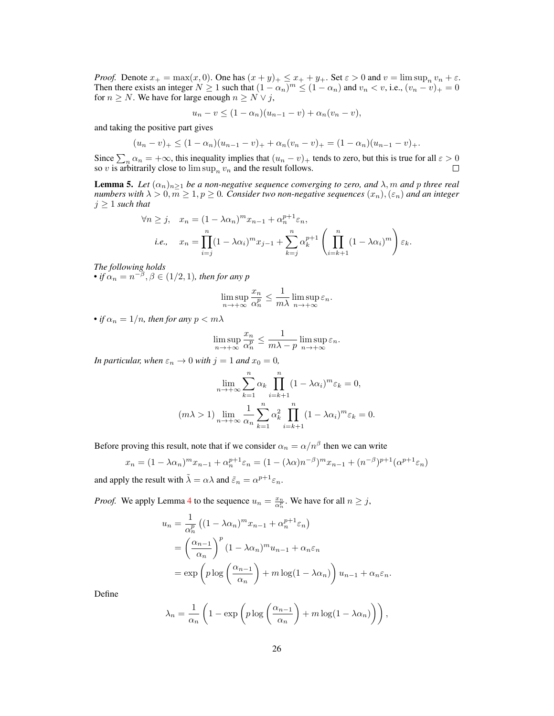*Proof.* Denote  $x_+ = \max(x, 0)$ . One has  $(x + y)_+ \leq x_+ + y_+$ . Set  $\varepsilon > 0$  and  $v = \limsup_n v_n + \varepsilon$ . Then there exists an integer  $N \ge 1$  such that  $(1 - \alpha_n)^m \le (1 - \alpha_n)$  and  $v_n < v$ , i.e.,  $(v_n - v)_+ = 0$ for  $n \geq N$ . We have for large enough  $n \geq N \vee j$ ,

$$
u_n - v \le (1 - \alpha_n)(u_{n-1} - v) + \alpha_n(v_n - v),
$$

and taking the positive part gives

$$
(u_n - v)_+ \le (1 - \alpha_n)(u_{n-1} - v)_+ + \alpha_n(v_n - v)_+ = (1 - \alpha_n)(u_{n-1} - v)_+.
$$

Since  $\sum_n \alpha_n = +\infty$ , this inequality implies that  $(u_n - v)_+$  tends to zero, but this is true for all  $\varepsilon > 0$ so v is arbitrarily close to  $\limsup_n v_n$  and the result follows.

<span id="page-25-0"></span>**Lemma 5.** Let  $(\alpha_n)_{n>1}$  be a non-negative sequence converging to zero, and  $\lambda$ , m and p three real *numbers with*  $\lambda > 0, \overline{m} \geq 1, p \geq 0$ . *Consider two non-negative sequences*  $(x_n), (\varepsilon_n)$  *and an integer*  $j \geq 1$  *such that* 

$$
\forall n \ge j, \quad x_n = (1 - \lambda \alpha_n)^m x_{n-1} + \alpha_n^{p+1} \varepsilon_n,
$$
  
*i.e.*, 
$$
x_n = \prod_{i=j}^n (1 - \lambda \alpha_i)^m x_{j-1} + \sum_{k=j}^n \alpha_k^{p+1} \left( \prod_{i=k+1}^n (1 - \lambda \alpha_i)^m \right) \varepsilon_k.
$$

*The following holds* • if  $\alpha_n = n^{-\beta}, \beta \in (1/2, 1)$ *, then for any* p

$$
\limsup_{n \to +\infty} \frac{x_n}{\alpha_n^p} \le \frac{1}{m\lambda} \limsup_{n \to +\infty} \varepsilon_n.
$$

• *if*  $\alpha_n = 1/n$ *, then for any*  $p < m\lambda$ 

$$
\limsup_{n \to +\infty} \frac{x_n}{\alpha_n^p} \le \frac{1}{m \lambda - p} \limsup_{n \to +\infty} \varepsilon_n.
$$

*In particular, when*  $\varepsilon_n \to 0$  *with*  $j = 1$  *and*  $x_0 = 0$ *,* 

$$
\lim_{n \to +\infty} \sum_{k=1}^{n} \alpha_k \prod_{i=k+1}^{n} (1 - \lambda \alpha_i)^m \varepsilon_k = 0,
$$
  
( $m \lambda > 1$ ) 
$$
\lim_{n \to +\infty} \frac{1}{\alpha_n} \sum_{k=1}^{n} \alpha_k^2 \prod_{i=k+1}^{n} (1 - \lambda \alpha_i)^m \varepsilon_k = 0.
$$

Before proving this result, note that if we consider  $\alpha_n = \alpha/n^{\beta}$  then we can write

$$
x_n = (1 - \lambda \alpha_n)^m x_{n-1} + \alpha_n^{p+1} \varepsilon_n = (1 - (\lambda \alpha)n^{-\beta})^m x_{n-1} + (n^{-\beta})^{p+1} (\alpha^{p+1} \varepsilon_n)
$$
  
and apply the result with  $\tilde{\lambda} = \alpha \lambda$  and  $\tilde{\varepsilon}_n = \alpha^{p+1} \varepsilon_n$ .

*Proof.* We apply Lemma 4 to the sequence 
$$
u_n = \frac{x_n}{\alpha_n^p}
$$
. We have for all  $n \ge j$ ,  
\n
$$
u_n = \frac{1}{\alpha_n^p} \left( (1 - \lambda \alpha_n)^m x_{n-1} + \alpha_n^{p+1} \varepsilon_n \right)
$$
\n
$$
= \left( \frac{\alpha_{n-1}}{n} \right)^p (1 - \lambda \alpha_n)^m u_{n-1} + \alpha_n \varepsilon_n
$$

$$
= \left(\begin{array}{c}\alpha_n\\
\alpha_n\end{array}\right) \left(\begin{array}{c}\alpha_{n-1}\\
\alpha_{n-1}\end{array}\right) + m \log(1 - \lambda \alpha_n)\right) u_{n-1} + \alpha_n \varepsilon_n.
$$

Define

$$
\lambda_n = \frac{1}{\alpha_n} \left( 1 - \exp \left( p \log \left( \frac{\alpha_{n-1}}{\alpha_n} \right) + m \log(1 - \lambda \alpha_n) \right) \right),\,
$$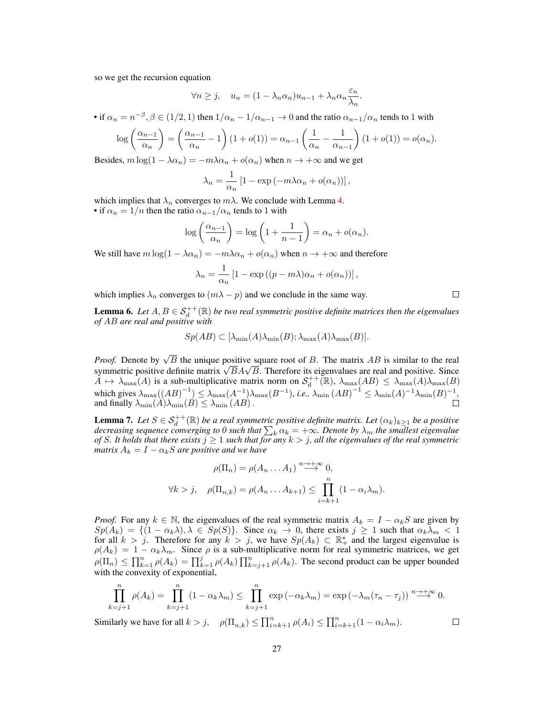so we get the recursion equation

$$
\forall n \ge j, \quad u_n = (1 - \lambda_n \alpha_n) u_{n-1} + \lambda_n \alpha_n \frac{\varepsilon_n}{\lambda_n}.
$$

• if  $\alpha_n = n^{-\beta}, \beta \in (1/2, 1)$  then  $1/\alpha_n - 1/\alpha_{n-1} \to 0$  and the ratio  $\alpha_{n-1}/\alpha_n$  tends to 1 with

$$
\log\left(\frac{\alpha_{n-1}}{\alpha_n}\right) = \left(\frac{\alpha_{n-1}}{\alpha_n} - 1\right)(1 + o(1)) = \alpha_{n-1}\left(\frac{1}{\alpha_n} - \frac{1}{\alpha_{n-1}}\right)(1 + o(1)) = o(\alpha_n).
$$

Besides,  $m \log(1 - \lambda \alpha_n) = -m \lambda \alpha_n + o(\alpha_n)$  when  $n \to +\infty$  and we get

$$
\lambda_n = \frac{1}{\alpha_n} \left[ 1 - \exp\left( -m\lambda \alpha_n + o(\alpha_n) \right) \right],
$$

which implies that  $\lambda_n$  converges to  $m\lambda$ . We conclude with Lemma [4.](#page-24-2) • if  $\alpha_n = 1/n$  then the ratio  $\alpha_{n-1}/\alpha_n$  tends to 1 with

$$
\log\left(\frac{\alpha_{n-1}}{\alpha_n}\right) = \log\left(1 + \frac{1}{n-1}\right) = \alpha_n + o(\alpha_n).
$$

We still have  $m \log(1 - \lambda \alpha_n) = -m \lambda \alpha_n + o(\alpha_n)$  when  $n \to +\infty$  and therefore

$$
\lambda_n = \frac{1}{\alpha_n} \left[ 1 - \exp\left( (p - m\lambda)\alpha_n + o(\alpha_n) \right) \right],
$$

which implies  $\lambda_n$  converges to  $(m\lambda - p)$  and we conclude in the same way.

<span id="page-26-1"></span>**Lemma 6.** Let  $A, B \in \mathcal{S}_d^{++}(\mathbb{R})$  be two real symmetric positive definite matrices then the eigenvalues *of* AB *are real and positive with*

$$
Sp(AB) \subset [\lambda_{\min}(A)\lambda_{\min}(B); \lambda_{\max}(A)\lambda_{\max}(B)].
$$

*Proof.* Denote by  $\sqrt{B}$  the unique positive square root of B. The matrix AB is similar to the real *Proof.* Denote by  $\sqrt{B}$  the unique positive square root of B. The matrix AB is similar to the real symmetric positive definite matrix  $\sqrt{B}A\sqrt{B}$ . Therefore its eigenvalues are real and positive. Since  $A \mapsto \lambda_{\max}(A)$  is a sub-multiplicative matrix norm on  $S_d^{++}(\mathbb{R})$ ,  $\lambda_{\max}(AB) \leq \lambda_{\max}(A)\lambda_{\max}(B)$ which gives  $\lambda_{\max}((AB)^{-1}) \leq \lambda_{\max}(A^{-1})\lambda_{\max}(B^{-1}),$  *i.e.*,  $\lambda_{\min}(AB)^{-1} \leq \lambda_{\min}(A)^{-1}\lambda_{\min}(B)^{-1},$ and finally  $\lambda_{\min}(A)\lambda_{\min}(B) \leq \lambda_{\min}(AB)$ .

<span id="page-26-0"></span>**Lemma 7.** Let  $S \in S_d^{++}(\mathbb{R})$  be a real symmetric positive definite matrix. Let  $(\alpha_k)_{k\geq 1}$  be a positive decreasing sequence converging to 0 such that  $\sum_k \alpha_k = +\infty$ . Denote by  $\lambda_m$  the smallest eigenvalue *of* S. It holds that there exists  $j \geq 1$  *such that for any*  $k > j$ , all the eigenvalues of the real symmetric *matrix*  $A_k = I - \alpha_k S$  *are positive and we have* 

$$
\rho(\Pi_n) = \rho(A_n \dots A_1) \stackrel{n \to +\infty}{\longrightarrow} 0,
$$
  

$$
\forall k > j, \quad \rho(\Pi_{n,k}) = \rho(A_n \dots A_{k+1}) \le \prod_{i=k+1}^n (1 - \alpha_i \lambda_m).
$$

*Proof.* For any  $k \in \mathbb{N}$ , the eigenvalues of the real symmetric matrix  $A_k = I - \alpha_k S$  are given by  $Sp(A_k) = \{(1 - \alpha_k \lambda), \lambda \in Sp(S)\}.$  Since  $\alpha_k \to 0$ , there exists  $j \ge 1$  such that  $\alpha_k \lambda_m < 1$ for all  $k > j$ . Therefore for any  $k > j$ , we have  $Sp(A_k) \subset \mathbb{R}^*$  and the largest eigenvalue is  $\rho(A_k) = 1 - \alpha_k \lambda_m$ . Since  $\rho$  is a sub-multiplicative norm for real symmetric matrices, we get  $\rho(\Pi_n) \le \prod_{k=1}^n \rho(A_k) = \prod_{k=1}^j \rho(A_k) \prod_{k=j+1}^n \rho(A_k)$ . The second product can be upper bounded with the convexity of exponential,

$$
\prod_{k=j+1}^{n} \rho(A_k) = \prod_{k=j+1}^{n} (1 - \alpha_k \lambda_m) \le \prod_{k=j+1}^{n} \exp(-\alpha_k \lambda_m) = \exp(-\lambda_m (\tau_n - \tau_j)) \stackrel{n \to +\infty}{\longrightarrow} 0.
$$

Similarly we have for all  $k > j$ ,  $\rho(\Pi_{n,k}) \le \prod_{i=k+1}^n \rho(A_i) \le \prod_{i=k+1}^n (1 - \alpha_i \lambda_m)$ .

 $\Box$ 

 $\Box$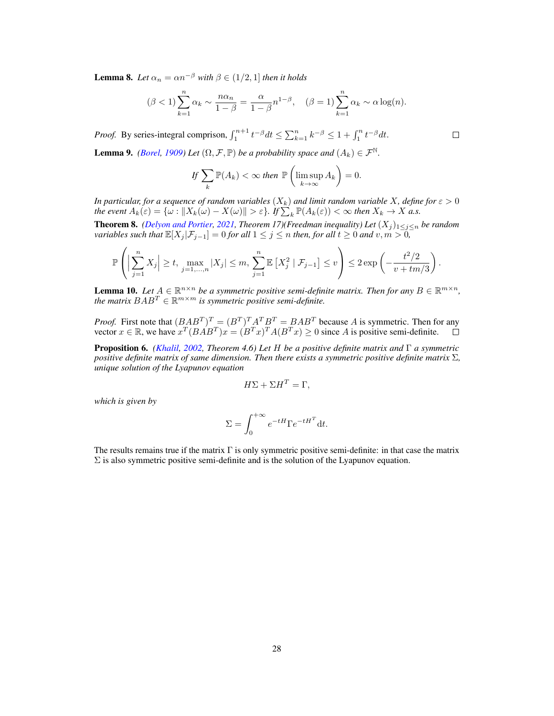<span id="page-27-0"></span>**Lemma 8.** Let  $\alpha_n = \alpha n^{-\beta}$  with  $\beta \in (1/2, 1]$  then it holds

$$
(\beta < 1) \sum_{k=1}^{n} \alpha_k \sim \frac{n\alpha_n}{1-\beta} = \frac{\alpha}{1-\beta} n^{1-\beta}, \quad (\beta = 1) \sum_{k=1}^{n} \alpha_k \sim \alpha \log(n).
$$

*Proof.* By series-integral comprison,  $\int_1^{n+1} t^{-\beta} dt \le \sum_{k=1}^n k^{-\beta} \le 1 + \int_1^n t^{-\beta} dt$ .

<span id="page-27-4"></span>**Lemma 9.** *[\(Borel,](#page-28-20) [1909\)](#page-28-20) Let*  $(\Omega, \mathcal{F}, \mathbb{P})$  *be a probability space and*  $(A_k) \in \mathcal{F}^{\mathbb{N}}$ *.* 

$$
If \sum_{k} \mathbb{P}(A_k) < \infty \text{ then } \mathbb{P}\left(\limsup_{k \to \infty} A_k\right) = 0.
$$

*In particular, for a sequence of random variables*  $(X_k)$  *and limit random variable* X, define for  $\varepsilon > 0$ *the event*  $A_k(\varepsilon) = \{ \omega : ||X_k(\omega) - X(\omega)|| > \varepsilon \}$ . If  $\sum_k^{\infty} \mathbb{P}(A_k(\varepsilon)) < \infty$  *then*  $X_k \to X$  *a.s.* 

<span id="page-27-3"></span>**Theorem 8.** *[\(Delyon and Portier,](#page-28-21) [2021,](#page-28-21) Theorem 17)(Freedman inequality) Let*  $(X_j)_{1 \leq j \leq n}$  *be random variables such that*  $\mathbb{E}[X_j | \mathcal{F}_{j-1}] = 0$  *for all*  $1 \leq j \leq n$  *then, for all*  $t \geq 0$  *and*  $v, m > 0$ *,* 

$$
\mathbb{P}\left(\Big|\sum_{j=1}^n X_j\Big|\geq t,\max_{j=1,\ldots,n}|X_j|\leq m,\sum_{j=1}^n\mathbb{E}\left[X_j^2\mid \mathcal{F}_{j-1}\right]\leq v\right)\leq 2\exp\left(-\frac{t^2/2}{v+tm/3}\right).
$$

<span id="page-27-1"></span>**Lemma 10.** Let  $A \in \mathbb{R}^{n \times n}$  be a symmetric positive semi-definite matrix. Then for any  $B \in \mathbb{R}^{m \times n}$ , *the matrix*  $BAB^T \in \mathbb{R}^{m \times m}$  *is symmetric positive semi-definite.* 

*Proof.* First note that  $(BAB^T)^T = (B^T)^T A^T B^T = BAB^T$  because A is symmetric. Then for any vector  $x \in \mathbb{R}$ , we have  $x^T (BAB^T)x = (B^T x)^T A (B^T x) \ge 0$  since A is positive semi-definite.

<span id="page-27-2"></span>Proposition 6. *[\(Khalil,](#page-29-22) [2002,](#page-29-22) Theorem 4.6) Let* H *be a positive definite matrix and* Γ *a symmetric positive definite matrix of same dimension. Then there exists a symmetric positive definite matrix* Σ*, unique solution of the Lyapunov equation*

$$
H\Sigma + \Sigma H^T = \Gamma,
$$

*which is given by*

$$
\Sigma = \int_0^{+\infty} e^{-tH} \Gamma e^{-tH^T} dt.
$$

The results remains true if the matrix  $\Gamma$  is only symmetric positive semi-definite: in that case the matrix  $\Sigma$  is also symmetric positive semi-definite and is the solution of the Lyapunov equation.

 $\Box$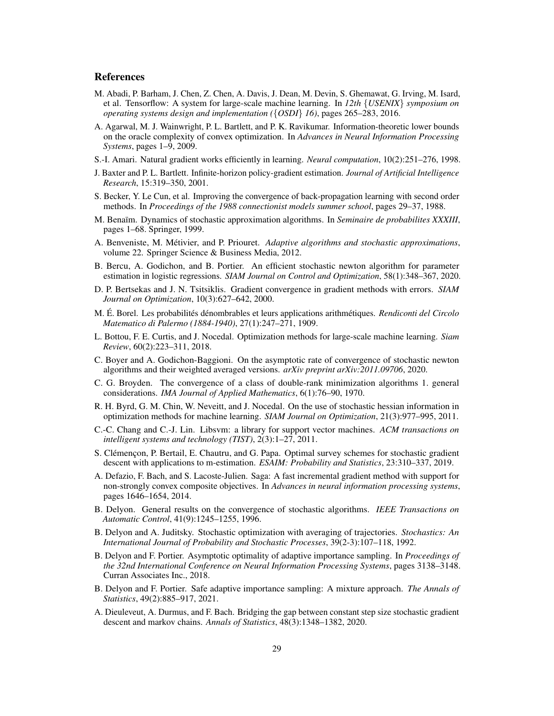## References

- <span id="page-28-12"></span>M. Abadi, P. Barham, J. Chen, Z. Chen, A. Davis, J. Dean, M. Devin, S. Ghemawat, G. Irving, M. Isard, et al. Tensorflow: A system for large-scale machine learning. In *12th* {*USENIX*} *symposium on operating systems design and implementation (*{*OSDI*} *16)*, pages 265–283, 2016.
- <span id="page-28-5"></span>A. Agarwal, M. J. Wainwright, P. L. Bartlett, and P. K. Ravikumar. Information-theoretic lower bounds on the oracle complexity of convex optimization. In *Advances in Neural Information Processing Systems*, pages 1–9, 2009.
- <span id="page-28-2"></span>S.-I. Amari. Natural gradient works efficiently in learning. *Neural computation*, 10(2):251–276, 1998.
- <span id="page-28-14"></span>J. Baxter and P. L. Bartlett. Infinite-horizon policy-gradient estimation. *Journal of Artificial Intelligence Research*, 15:319–350, 2001.
- <span id="page-28-18"></span>S. Becker, Y. Le Cun, et al. Improving the convergence of back-propagation learning with second order methods. In *Proceedings of the 1988 connectionist models summer school*, pages 29–37, 1988.
- <span id="page-28-7"></span>M. Benaïm. Dynamics of stochastic approximation algorithms. In *Seminaire de probabilites XXXIII*, pages 1–68. Springer, 1999.
- <span id="page-28-4"></span>A. Benveniste, M. Métivier, and P. Priouret. *Adaptive algorithms and stochastic approximations*, volume 22. Springer Science & Business Media, 2012.
- <span id="page-28-9"></span>B. Bercu, A. Godichon, and B. Portier. An efficient stochastic newton algorithm for parameter estimation in logistic regressions. *SIAM Journal on Control and Optimization*, 58(1):348–367, 2020.
- <span id="page-28-6"></span>D. P. Bertsekas and J. N. Tsitsiklis. Gradient convergence in gradient methods with errors. *SIAM Journal on Optimization*, 10(3):627–642, 2000.
- <span id="page-28-20"></span>M. É. Borel. Les probabilités dénombrables et leurs applications arithmétiques. *Rendiconti del Circolo Matematico di Palermo (1884-1940)*, 27(1):247–271, 1909.
- <span id="page-28-0"></span>L. Bottou, F. E. Curtis, and J. Nocedal. Optimization methods for large-scale machine learning. *Siam Review*, 60(2):223–311, 2018.
- <span id="page-28-10"></span>C. Boyer and A. Godichon-Baggioni. On the asymptotic rate of convergence of stochastic newton algorithms and their weighted averaged versions. *arXiv preprint arXiv:2011.09706*, 2020.
- <span id="page-28-19"></span>C. G. Broyden. The convergence of a class of double-rank minimization algorithms 1. general considerations. *IMA Journal of Applied Mathematics*, 6(1):76–90, 1970.
- <span id="page-28-3"></span>R. H. Byrd, G. M. Chin, W. Neveitt, and J. Nocedal. On the use of stochastic hessian information in optimization methods for machine learning. *SIAM Journal on Optimization*, 21(3):977–995, 2011.
- <span id="page-28-17"></span>C.-C. Chang and C.-J. Lin. Libsvm: a library for support vector machines. *ACM transactions on intelligent systems and technology (TIST)*, 2(3):1–27, 2011.
- <span id="page-28-13"></span>S. Clémençon, P. Bertail, E. Chautru, and G. Papa. Optimal survey schemes for stochastic gradient descent with applications to m-estimation. *ESAIM: Probability and Statistics*, 23:310–337, 2019.
- <span id="page-28-15"></span>A. Defazio, F. Bach, and S. Lacoste-Julien. Saga: A fast incremental gradient method with support for non-strongly convex composite objectives. In *Advances in neural information processing systems*, pages 1646–1654, 2014.
- <span id="page-28-8"></span>B. Delyon. General results on the convergence of stochastic algorithms. *IEEE Transactions on Automatic Control*, 41(9):1245–1255, 1996.
- <span id="page-28-16"></span>B. Delyon and A. Juditsky. Stochastic optimization with averaging of trajectories. *Stochastics: An International Journal of Probability and Stochastic Processes*, 39(2-3):107–118, 1992.
- <span id="page-28-1"></span>B. Delyon and F. Portier. Asymptotic optimality of adaptive importance sampling. In *Proceedings of the 32nd International Conference on Neural Information Processing Systems*, pages 3138–3148. Curran Associates Inc., 2018.
- <span id="page-28-21"></span>B. Delyon and F. Portier. Safe adaptive importance sampling: A mixture approach. *The Annals of Statistics*, 49(2):885–917, 2021.
- <span id="page-28-11"></span>A. Dieuleveut, A. Durmus, and F. Bach. Bridging the gap between constant step size stochastic gradient descent and markov chains. *Annals of Statistics*, 48(3):1348–1382, 2020.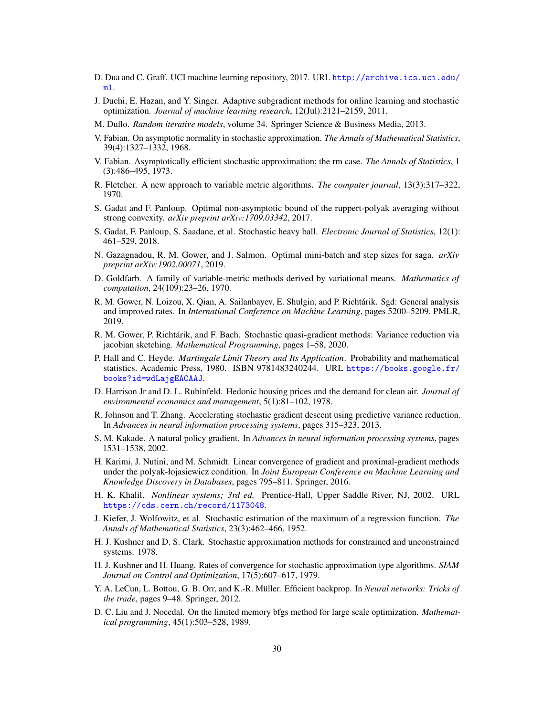- <span id="page-29-18"></span>D. Dua and C. Graff. UCI machine learning repository, 2017. URL [http://archive.ics.uci.edu/](http://archive.ics.uci.edu/ml) [ml](http://archive.ics.uci.edu/ml).
- <span id="page-29-1"></span>J. Duchi, E. Hazan, and Y. Singer. Adaptive subgradient methods for online learning and stochastic optimization. *Journal of machine learning research*, 12(Jul):2121–2159, 2011.
- <span id="page-29-6"></span>M. Duflo. *Random iterative models*, volume 34. Springer Science & Business Media, 2013.
- <span id="page-29-7"></span>V. Fabian. On asymptotic normality in stochastic approximation. *The Annals of Mathematical Statistics*, 39(4):1327–1332, 1968.
- <span id="page-29-8"></span>V. Fabian. Asymptotically efficient stochastic approximation; the rm case. *The Annals of Statistics*, 1 (3):486–495, 1973.
- <span id="page-29-19"></span>R. Fletcher. A new approach to variable metric algorithms. *The computer journal*, 13(3):317–322, 1970.
- <span id="page-29-9"></span>S. Gadat and F. Panloup. Optimal non-asymptotic bound of the ruppert-polyak averaging without strong convexity. *arXiv preprint arXiv:1709.03342*, 2017.
- <span id="page-29-13"></span>S. Gadat, F. Panloup, S. Saadane, et al. Stochastic heavy ball. *Electronic Journal of Statistics*, 12(1): 461–529, 2018.
- <span id="page-29-14"></span>N. Gazagnadou, R. M. Gower, and J. Salmon. Optimal mini-batch and step sizes for saga. *arXiv preprint arXiv:1902.00071*, 2019.
- <span id="page-29-20"></span>D. Goldfarb. A family of variable-metric methods derived by variational means. *Mathematics of computation*, 24(109):23–26, 1970.
- <span id="page-29-11"></span>R. M. Gower, N. Loizou, X. Qian, A. Sailanbayev, E. Shulgin, and P. Richtárik. Sgd: General analysis and improved rates. In *International Conference on Machine Learning*, pages 5200–5209. PMLR, 2019.
- <span id="page-29-2"></span>R. M. Gower, P. Richtárik, and F. Bach. Stochastic quasi-gradient methods: Variance reduction via jacobian sketching. *Mathematical Programming*, pages 1–58, 2020.
- <span id="page-29-12"></span>P. Hall and C. Heyde. *Martingale Limit Theory and Its Application*. Probability and mathematical statistics. Academic Press, 1980. ISBN 9781483240244. URL [https://books.google.fr/](https://books.google.fr/books?id=wdLajgEACAAJ) [books?id=wdLajgEACAAJ](https://books.google.fr/books?id=wdLajgEACAAJ).
- <span id="page-29-17"></span>D. Harrison Jr and D. L. Rubinfeld. Hedonic housing prices and the demand for clean air. *Journal of environmental economics and management*, 5(1):81–102, 1978.
- <span id="page-29-16"></span>R. Johnson and T. Zhang. Accelerating stochastic gradient descent using predictive variance reduction. In *Advances in neural information processing systems*, pages 315–323, 2013.
- <span id="page-29-0"></span>S. M. Kakade. A natural policy gradient. In *Advances in neural information processing systems*, pages 1531–1538, 2002.
- <span id="page-29-15"></span>H. Karimi, J. Nutini, and M. Schmidt. Linear convergence of gradient and proximal-gradient methods under the polyak-łojasiewicz condition. In *Joint European Conference on Machine Learning and Knowledge Discovery in Databases*, pages 795–811. Springer, 2016.
- <span id="page-29-22"></span>H. K. Khalil. *Nonlinear systems; 3rd ed.* Prentice-Hall, Upper Saddle River, NJ, 2002. URL <https://cds.cern.ch/record/1173048>.
- <span id="page-29-3"></span>J. Kiefer, J. Wolfowitz, et al. Stochastic estimation of the maximum of a regression function. *The Annals of Mathematical Statistics*, 23(3):462–466, 1952.
- <span id="page-29-5"></span>H. J. Kushner and D. S. Clark. Stochastic approximation methods for constrained and unconstrained systems. 1978.
- <span id="page-29-4"></span>H. J. Kushner and H. Huang. Rates of convergence for stochastic approximation type algorithms. *SIAM Journal on Control and Optimization*, 17(5):607–617, 1979.
- <span id="page-29-10"></span>Y. A. LeCun, L. Bottou, G. B. Orr, and K.-R. Müller. Efficient backprop. In *Neural networks: Tricks of the trade*, pages 9–48. Springer, 2012.
- <span id="page-29-21"></span>D. C. Liu and J. Nocedal. On the limited memory bfgs method for large scale optimization. *Mathematical programming*, 45(1):503–528, 1989.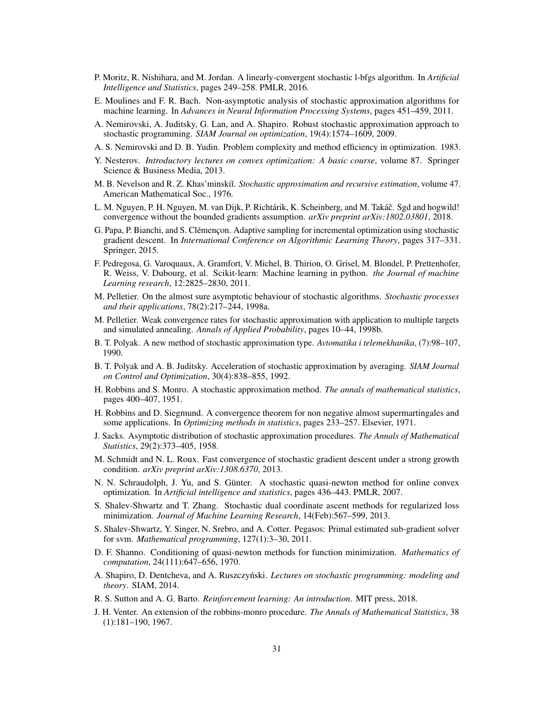- <span id="page-30-22"></span>P. Moritz, R. Nishihara, and M. Jordan. A linearly-convergent stochastic l-bfgs algorithm. In *Artificial Intelligence and Statistics*, pages 249–258. PMLR, 2016.
- <span id="page-30-5"></span>E. Moulines and F. R. Bach. Non-asymptotic analysis of stochastic approximation algorithms for machine learning. In *Advances in Neural Information Processing Systems*, pages 451–459, 2011.
- <span id="page-30-14"></span>A. Nemirovski, A. Juditsky, G. Lan, and A. Shapiro. Robust stochastic approximation approach to stochastic programming. *SIAM Journal on optimization*, 19(4):1574–1609, 2009.
- <span id="page-30-15"></span>A. S. Nemirovski and D. B. Yudin. Problem complexity and method efficiency in optimization. 1983.
- <span id="page-30-23"></span>Y. Nesterov. *Introductory lectures on convex optimization: A basic course*, volume 87. Springer Science & Business Media, 2013.
- <span id="page-30-8"></span>M. B. Nevelson and R. Z. Khas'minskiĭ. *Stochastic approximation and recursive estimation*, volume 47. American Mathematical Soc., 1976.
- <span id="page-30-17"></span>L. M. Nguyen, P. H. Nguyen, M. van Dijk, P. Richtárik, K. Scheinberg, and M. Takác. Sgd and hogwild! ˇ convergence without the bounded gradients assumption. *arXiv preprint arXiv:1802.03801*, 2018.
- <span id="page-30-13"></span>G. Papa, P. Bianchi, and S. Clémençon. Adaptive sampling for incremental optimization using stochastic gradient descent. In *International Conference on Algorithmic Learning Theory*, pages 317–331. Springer, 2015.
- <span id="page-30-12"></span>F. Pedregosa, G. Varoquaux, A. Gramfort, V. Michel, B. Thirion, O. Grisel, M. Blondel, P. Prettenhofer, R. Weiss, V. Dubourg, et al. Scikit-learn: Machine learning in python. *the Journal of machine Learning research*, 12:2825–2830, 2011.
- <span id="page-30-4"></span>M. Pelletier. On the almost sure asymptotic behaviour of stochastic algorithms. *Stochastic processes and their applications*, 78(2):217–244, 1998a.
- <span id="page-30-6"></span>M. Pelletier. Weak convergence rates for stochastic approximation with application to multiple targets and simulated annealing. *Annals of Applied Probability*, pages 10–44, 1998b.
- <span id="page-30-10"></span>B. T. Polyak. A new method of stochastic approximation type. *Avtomatika i telemekhanika*, (7):98–107, 1990.
- <span id="page-30-11"></span>B. T. Polyak and A. B. Juditsky. Acceleration of stochastic approximation by averaging. *SIAM Journal on Control and Optimization*, 30(4):838–855, 1992.
- <span id="page-30-2"></span>H. Robbins and S. Monro. A stochastic approximation method. *The annals of mathematical statistics*, pages 400–407, 1951.
- <span id="page-30-3"></span>H. Robbins and D. Siegmund. A convergence theorem for non negative almost supermartingales and some applications. In *Optimizing methods in statistics*, pages 233–257. Elsevier, 1971.
- <span id="page-30-7"></span>J. Sacks. Asymptotic distribution of stochastic approximation procedures. *The Annals of Mathematical Statistics*, 29(2):373–405, 1958.
- <span id="page-30-18"></span>M. Schmidt and N. L. Roux. Fast convergence of stochastic gradient descent under a strong growth condition. *arXiv preprint arXiv:1308.6370*, 2013.
- <span id="page-30-21"></span>N. N. Schraudolph, J. Yu, and S. Günter. A stochastic quasi-newton method for online convex optimization. In *Artificial intelligence and statistics*, pages 436–443. PMLR, 2007.
- <span id="page-30-19"></span>S. Shalev-Shwartz and T. Zhang. Stochastic dual coordinate ascent methods for regularized loss minimization. *Journal of Machine Learning Research*, 14(Feb):567–599, 2013.
- <span id="page-30-16"></span>S. Shalev-Shwartz, Y. Singer, N. Srebro, and A. Cotter. Pegasos: Primal estimated sub-gradient solver for svm. *Mathematical programming*, 127(1):3–30, 2011.
- <span id="page-30-20"></span>D. F. Shanno. Conditioning of quasi-newton methods for function minimization. *Mathematics of computation*, 24(111):647–656, 1970.
- <span id="page-30-0"></span>A. Shapiro, D. Dentcheva, and A. Ruszczyński. *Lectures on stochastic programming: modeling and theory*. SIAM, 2014.
- <span id="page-30-1"></span>R. S. Sutton and A. G. Barto. *Reinforcement learning: An introduction*. MIT press, 2018.
- <span id="page-30-9"></span>J. H. Venter. An extension of the robbins-monro procedure. *The Annals of Mathematical Statistics*, 38 (1):181–190, 1967.